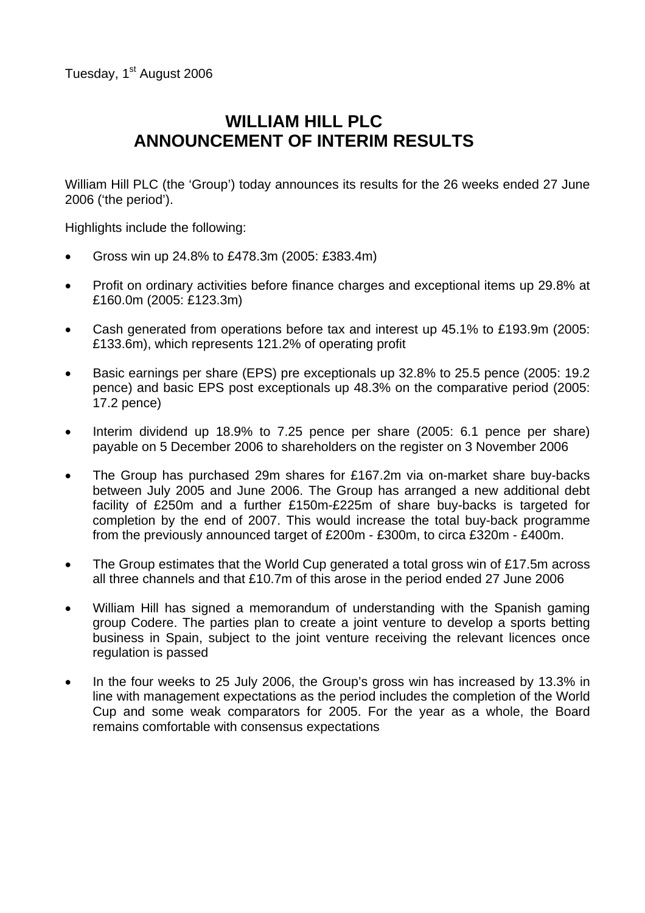# **WILLIAM HILL PLC ANNOUNCEMENT OF INTERIM RESULTS**

William Hill PLC (the 'Group') today announces its results for the 26 weeks ended 27 June 2006 ('the period').

Highlights include the following:

- Gross win up 24.8% to £478.3m (2005: £383.4m)
- Profit on ordinary activities before finance charges and exceptional items up 29.8% at £160.0m (2005: £123.3m)
- Cash generated from operations before tax and interest up 45.1% to £193.9m (2005: £133.6m), which represents 121.2% of operating profit
- Basic earnings per share (EPS) pre exceptionals up 32.8% to 25.5 pence (2005: 19.2 pence) and basic EPS post exceptionals up 48.3% on the comparative period (2005: 17.2 pence)
- Interim dividend up 18.9% to 7.25 pence per share (2005: 6.1 pence per share) payable on 5 December 2006 to shareholders on the register on 3 November 2006
- The Group has purchased 29m shares for £167.2m via on-market share buy-backs between July 2005 and June 2006. The Group has arranged a new additional debt facility of £250m and a further £150m-£225m of share buy-backs is targeted for completion by the end of 2007. This would increase the total buy-back programme from the previously announced target of £200m - £300m, to circa £320m - £400m.
- The Group estimates that the World Cup generated a total gross win of £17.5m across all three channels and that £10.7m of this arose in the period ended 27 June 2006
- William Hill has signed a memorandum of understanding with the Spanish gaming group Codere. The parties plan to create a joint venture to develop a sports betting business in Spain, subject to the joint venture receiving the relevant licences once regulation is passed
- In the four weeks to 25 July 2006, the Group's gross win has increased by 13.3% in line with management expectations as the period includes the completion of the World Cup and some weak comparators for 2005. For the year as a whole, the Board remains comfortable with consensus expectations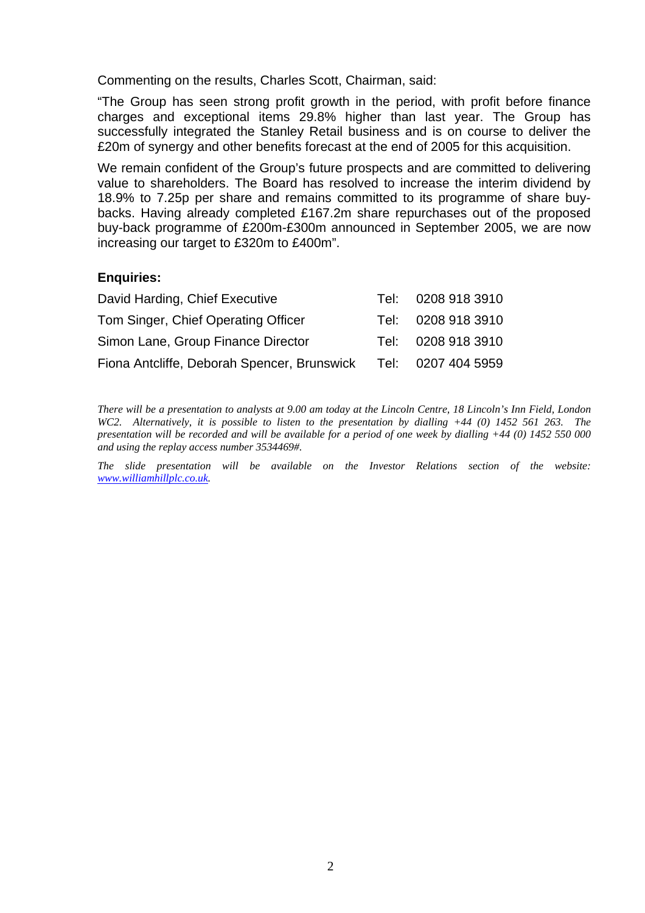Commenting on the results, Charles Scott, Chairman, said:

"The Group has seen strong profit growth in the period, with profit before finance charges and exceptional items 29.8% higher than last year. The Group has successfully integrated the Stanley Retail business and is on course to deliver the £20m of synergy and other benefits forecast at the end of 2005 for this acquisition.

We remain confident of the Group's future prospects and are committed to delivering value to shareholders. The Board has resolved to increase the interim dividend by 18.9% to 7.25p per share and remains committed to its programme of share buybacks. Having already completed £167.2m share repurchases out of the proposed buy-back programme of £200m-£300m announced in September 2005, we are now increasing our target to £320m to £400m".

### **Enquiries:**

| David Harding, Chief Executive              | Tel: 0208 918 3910 |
|---------------------------------------------|--------------------|
| Tom Singer, Chief Operating Officer         | Tel: 0208 918 3910 |
| Simon Lane, Group Finance Director          | Tel: 0208 918 3910 |
| Fiona Antcliffe, Deborah Spencer, Brunswick | Tel: 0207 404 5959 |

*There will be a presentation to analysts at 9.00 am today at the Lincoln Centre, 18 Lincoln's Inn Field, London WC2. Alternatively, it is possible to listen to the presentation by dialling +44 (0) 1452 561 263. The presentation will be recorded and will be available for a period of one week by dialling +44 (0) 1452 550 000 and using the replay access number 3534469#.* 

*The slide presentation will be available on the Investor Relations section of the website: [www.williamhillplc.co.uk.](http://www.williamhillplc.co.uk/)*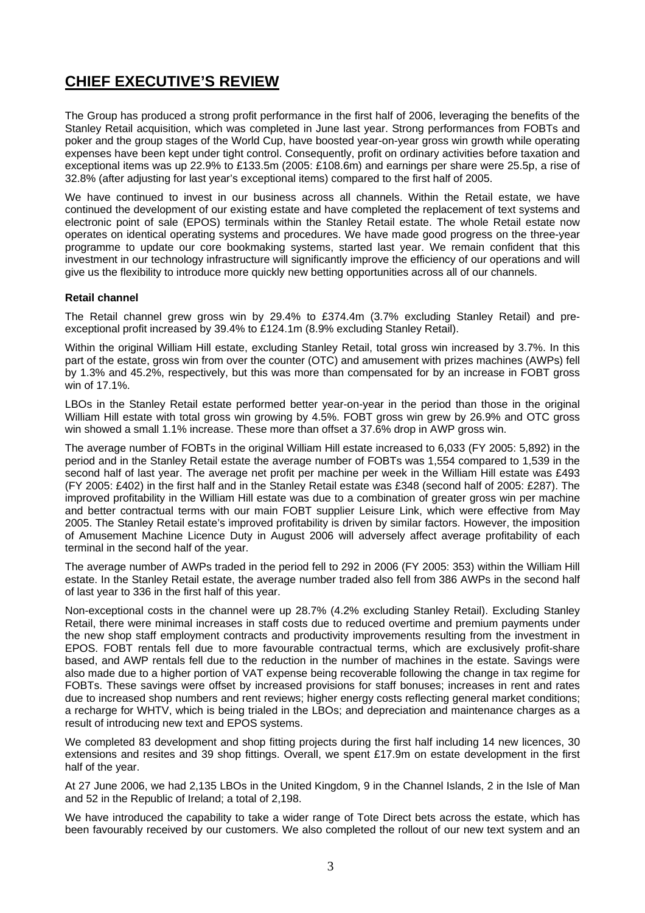# **CHIEF EXECUTIVE'S REVIEW**

The Group has produced a strong profit performance in the first half of 2006, leveraging the benefits of the Stanley Retail acquisition, which was completed in June last year. Strong performances from FOBTs and poker and the group stages of the World Cup, have boosted year-on-year gross win growth while operating expenses have been kept under tight control. Consequently, profit on ordinary activities before taxation and exceptional items was up 22.9% to £133.5m (2005: £108.6m) and earnings per share were 25.5p, a rise of 32.8% (after adjusting for last year's exceptional items) compared to the first half of 2005.

We have continued to invest in our business across all channels. Within the Retail estate, we have continued the development of our existing estate and have completed the replacement of text systems and electronic point of sale (EPOS) terminals within the Stanley Retail estate. The whole Retail estate now operates on identical operating systems and procedures. We have made good progress on the three-year programme to update our core bookmaking systems, started last year. We remain confident that this investment in our technology infrastructure will significantly improve the efficiency of our operations and will give us the flexibility to introduce more quickly new betting opportunities across all of our channels.

#### **Retail channel**

The Retail channel grew gross win by 29.4% to £374.4m (3.7% excluding Stanley Retail) and preexceptional profit increased by 39.4% to £124.1m (8.9% excluding Stanley Retail).

Within the original William Hill estate, excluding Stanley Retail, total gross win increased by 3.7%. In this part of the estate, gross win from over the counter (OTC) and amusement with prizes machines (AWPs) fell by 1.3% and 45.2%, respectively, but this was more than compensated for by an increase in FOBT gross win of 17.1%.

LBOs in the Stanley Retail estate performed better year-on-year in the period than those in the original William Hill estate with total gross win growing by 4.5%. FOBT gross win grew by 26.9% and OTC gross win showed a small 1.1% increase. These more than offset a 37.6% drop in AWP gross win.

The average number of FOBTs in the original William Hill estate increased to 6,033 (FY 2005: 5,892) in the period and in the Stanley Retail estate the average number of FOBTs was 1,554 compared to 1,539 in the second half of last year. The average net profit per machine per week in the William Hill estate was £493 (FY 2005: £402) in the first half and in the Stanley Retail estate was £348 (second half of 2005: £287). The improved profitability in the William Hill estate was due to a combination of greater gross win per machine and better contractual terms with our main FOBT supplier Leisure Link, which were effective from May 2005. The Stanley Retail estate's improved profitability is driven by similar factors. However, the imposition of Amusement Machine Licence Duty in August 2006 will adversely affect average profitability of each terminal in the second half of the year.

The average number of AWPs traded in the period fell to 292 in 2006 (FY 2005: 353) within the William Hill estate. In the Stanley Retail estate, the average number traded also fell from 386 AWPs in the second half of last year to 336 in the first half of this year.

Non-exceptional costs in the channel were up 28.7% (4.2% excluding Stanley Retail). Excluding Stanley Retail, there were minimal increases in staff costs due to reduced overtime and premium payments under the new shop staff employment contracts and productivity improvements resulting from the investment in EPOS. FOBT rentals fell due to more favourable contractual terms, which are exclusively profit-share based, and AWP rentals fell due to the reduction in the number of machines in the estate. Savings were also made due to a higher portion of VAT expense being recoverable following the change in tax regime for FOBTs. These savings were offset by increased provisions for staff bonuses; increases in rent and rates due to increased shop numbers and rent reviews; higher energy costs reflecting general market conditions; a recharge for WHTV, which is being trialed in the LBOs; and depreciation and maintenance charges as a result of introducing new text and EPOS systems.

We completed 83 development and shop fitting projects during the first half including 14 new licences, 30 extensions and resites and 39 shop fittings. Overall, we spent £17.9m on estate development in the first half of the year.

At 27 June 2006, we had 2,135 LBOs in the United Kingdom, 9 in the Channel Islands, 2 in the Isle of Man and 52 in the Republic of Ireland; a total of 2,198.

We have introduced the capability to take a wider range of Tote Direct bets across the estate, which has been favourably received by our customers. We also completed the rollout of our new text system and an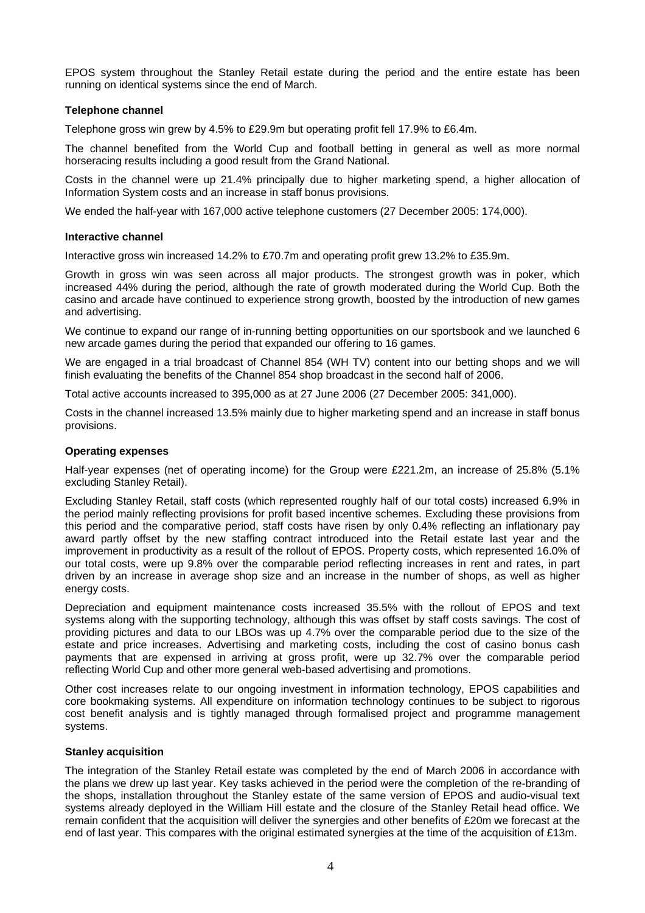EPOS system throughout the Stanley Retail estate during the period and the entire estate has been running on identical systems since the end of March.

#### **Telephone channel**

Telephone gross win grew by 4.5% to £29.9m but operating profit fell 17.9% to £6.4m.

The channel benefited from the World Cup and football betting in general as well as more normal horseracing results including a good result from the Grand National.

Costs in the channel were up 21.4% principally due to higher marketing spend, a higher allocation of Information System costs and an increase in staff bonus provisions.

We ended the half-year with 167,000 active telephone customers (27 December 2005: 174,000).

#### **Interactive channel**

Interactive gross win increased 14.2% to £70.7m and operating profit grew 13.2% to £35.9m.

Growth in gross win was seen across all major products. The strongest growth was in poker, which increased 44% during the period, although the rate of growth moderated during the World Cup. Both the casino and arcade have continued to experience strong growth, boosted by the introduction of new games and advertising.

We continue to expand our range of in-running betting opportunities on our sportsbook and we launched 6 new arcade games during the period that expanded our offering to 16 games.

We are engaged in a trial broadcast of Channel 854 (WH TV) content into our betting shops and we will finish evaluating the benefits of the Channel 854 shop broadcast in the second half of 2006.

Total active accounts increased to 395,000 as at 27 June 2006 (27 December 2005: 341,000).

Costs in the channel increased 13.5% mainly due to higher marketing spend and an increase in staff bonus provisions.

#### **Operating expenses**

Half-year expenses (net of operating income) for the Group were £221.2m, an increase of 25.8% (5.1% excluding Stanley Retail).

Excluding Stanley Retail, staff costs (which represented roughly half of our total costs) increased 6.9% in the period mainly reflecting provisions for profit based incentive schemes. Excluding these provisions from this period and the comparative period, staff costs have risen by only 0.4% reflecting an inflationary pay award partly offset by the new staffing contract introduced into the Retail estate last year and the improvement in productivity as a result of the rollout of EPOS. Property costs, which represented 16.0% of our total costs, were up 9.8% over the comparable period reflecting increases in rent and rates, in part driven by an increase in average shop size and an increase in the number of shops, as well as higher energy costs.

Depreciation and equipment maintenance costs increased 35.5% with the rollout of EPOS and text systems along with the supporting technology, although this was offset by staff costs savings. The cost of providing pictures and data to our LBOs was up 4.7% over the comparable period due to the size of the estate and price increases. Advertising and marketing costs, including the cost of casino bonus cash payments that are expensed in arriving at gross profit, were up 32.7% over the comparable period reflecting World Cup and other more general web-based advertising and promotions.

Other cost increases relate to our ongoing investment in information technology, EPOS capabilities and core bookmaking systems. All expenditure on information technology continues to be subject to rigorous cost benefit analysis and is tightly managed through formalised project and programme management systems.

#### **Stanley acquisition**

The integration of the Stanley Retail estate was completed by the end of March 2006 in accordance with the plans we drew up last year. Key tasks achieved in the period were the completion of the re-branding of the shops, installation throughout the Stanley estate of the same version of EPOS and audio-visual text systems already deployed in the William Hill estate and the closure of the Stanley Retail head office. We remain confident that the acquisition will deliver the synergies and other benefits of £20m we forecast at the end of last year. This compares with the original estimated synergies at the time of the acquisition of £13m.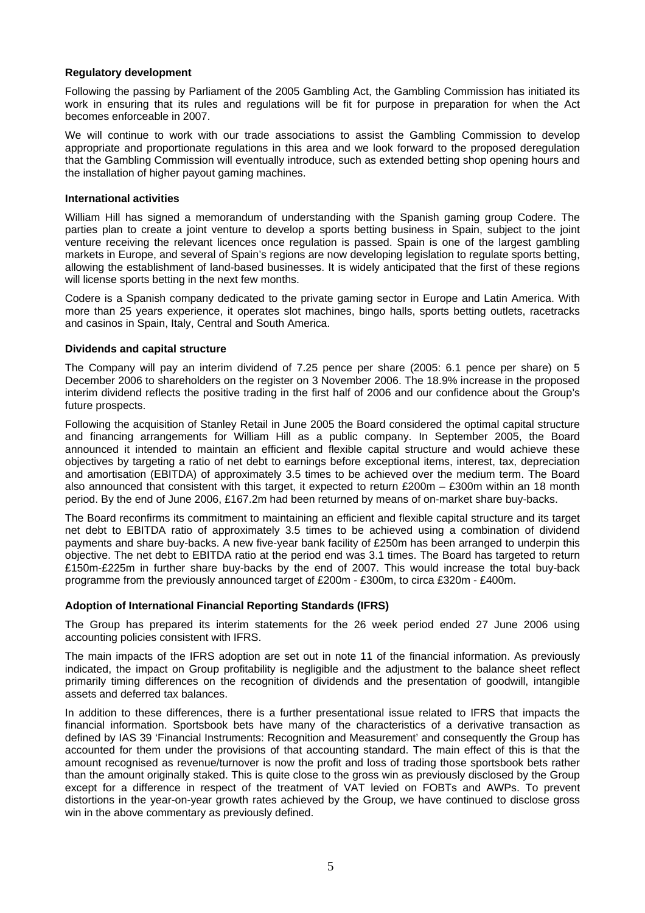#### **Regulatory development**

Following the passing by Parliament of the 2005 Gambling Act, the Gambling Commission has initiated its work in ensuring that its rules and regulations will be fit for purpose in preparation for when the Act becomes enforceable in 2007.

We will continue to work with our trade associations to assist the Gambling Commission to develop appropriate and proportionate regulations in this area and we look forward to the proposed deregulation that the Gambling Commission will eventually introduce, such as extended betting shop opening hours and the installation of higher payout gaming machines.

#### **International activities**

William Hill has signed a memorandum of understanding with the Spanish gaming group Codere. The parties plan to create a joint venture to develop a sports betting business in Spain, subject to the joint venture receiving the relevant licences once regulation is passed. Spain is one of the largest gambling markets in Europe, and several of Spain's regions are now developing legislation to regulate sports betting, allowing the establishment of land-based businesses. It is widely anticipated that the first of these regions will license sports betting in the next few months.

Codere is a Spanish company dedicated to the private gaming sector in Europe and Latin America. With more than 25 years experience, it operates slot machines, bingo halls, sports betting outlets, racetracks and casinos in Spain, Italy, Central and South America.

#### **Dividends and capital structure**

The Company will pay an interim dividend of 7.25 pence per share (2005: 6.1 pence per share) on 5 December 2006 to shareholders on the register on 3 November 2006. The 18.9% increase in the proposed interim dividend reflects the positive trading in the first half of 2006 and our confidence about the Group's future prospects.

Following the acquisition of Stanley Retail in June 2005 the Board considered the optimal capital structure and financing arrangements for William Hill as a public company. In September 2005, the Board announced it intended to maintain an efficient and flexible capital structure and would achieve these objectives by targeting a ratio of net debt to earnings before exceptional items, interest, tax, depreciation and amortisation (EBITDA) of approximately 3.5 times to be achieved over the medium term. The Board also announced that consistent with this target, it expected to return £200m – £300m within an 18 month period. By the end of June 2006, £167.2m had been returned by means of on-market share buy-backs.

The Board reconfirms its commitment to maintaining an efficient and flexible capital structure and its target net debt to EBITDA ratio of approximately 3.5 times to be achieved using a combination of dividend payments and share buy-backs. A new five-year bank facility of £250m has been arranged to underpin this objective. The net debt to EBITDA ratio at the period end was 3.1 times. The Board has targeted to return £150m-£225m in further share buy-backs by the end of 2007. This would increase the total buy-back programme from the previously announced target of £200m - £300m, to circa £320m - £400m.

#### **Adoption of International Financial Reporting Standards (IFRS)**

The Group has prepared its interim statements for the 26 week period ended 27 June 2006 using accounting policies consistent with IFRS.

The main impacts of the IFRS adoption are set out in note 11 of the financial information. As previously indicated, the impact on Group profitability is negligible and the adjustment to the balance sheet reflect primarily timing differences on the recognition of dividends and the presentation of goodwill, intangible assets and deferred tax balances.

In addition to these differences, there is a further presentational issue related to IFRS that impacts the financial information. Sportsbook bets have many of the characteristics of a derivative transaction as defined by IAS 39 'Financial Instruments: Recognition and Measurement' and consequently the Group has accounted for them under the provisions of that accounting standard. The main effect of this is that the amount recognised as revenue/turnover is now the profit and loss of trading those sportsbook bets rather than the amount originally staked. This is quite close to the gross win as previously disclosed by the Group except for a difference in respect of the treatment of VAT levied on FOBTs and AWPs. To prevent distortions in the year-on-year growth rates achieved by the Group, we have continued to disclose gross win in the above commentary as previously defined.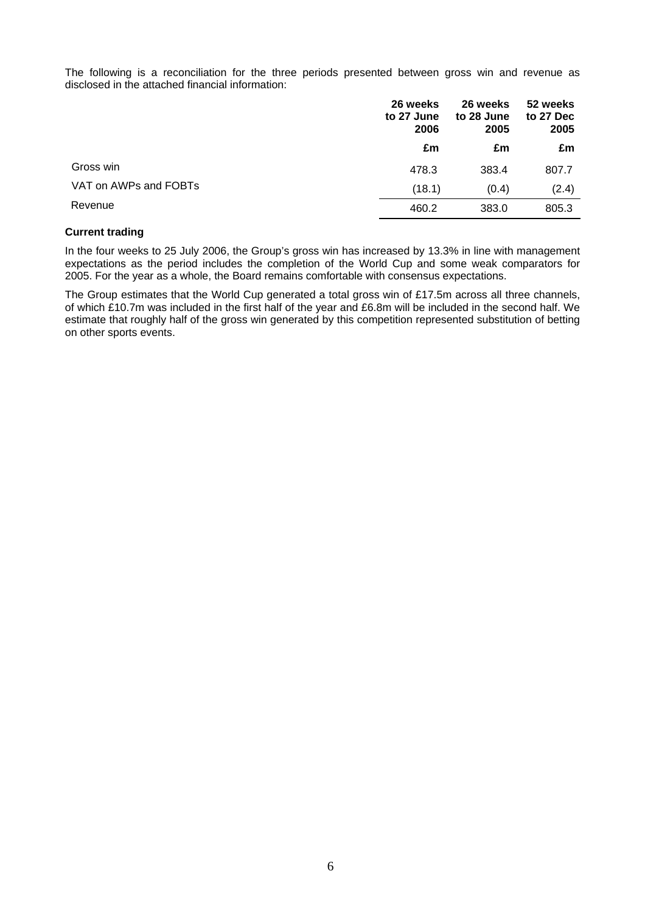The following is a reconciliation for the three periods presented between gross win and revenue as disclosed in the attached financial information:

|                       | 26 weeks<br>to 27 June<br>2006 | 26 weeks<br>to 28 June<br>2005 | 52 weeks<br>to 27 Dec<br>2005 |
|-----------------------|--------------------------------|--------------------------------|-------------------------------|
|                       | £m                             | £m                             | £m                            |
| Gross win             | 478.3                          | 383.4                          | 807.7                         |
| VAT on AWPs and FOBTs | (18.1)                         | (0.4)                          | (2.4)                         |
| Revenue               | 460.2                          | 383.0                          | 805.3                         |

#### **Current trading**

In the four weeks to 25 July 2006, the Group's gross win has increased by 13.3% in line with management expectations as the period includes the completion of the World Cup and some weak comparators for 2005. For the year as a whole, the Board remains comfortable with consensus expectations.

The Group estimates that the World Cup generated a total gross win of £17.5m across all three channels, of which £10.7m was included in the first half of the year and £6.8m will be included in the second half. We estimate that roughly half of the gross win generated by this competition represented substitution of betting on other sports events.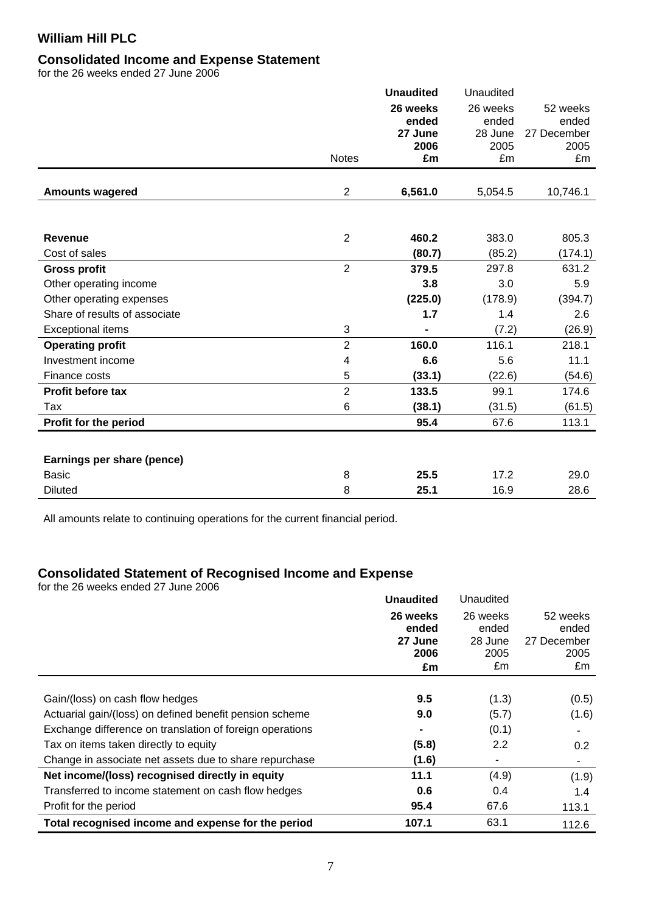#### **Consolidated Income and Expense Statement**

for the 26 weeks ended 27 June 2006

|                               |                | <b>Unaudited</b> | Unaudited       |                     |
|-------------------------------|----------------|------------------|-----------------|---------------------|
|                               |                | 26 weeks         | 26 weeks        | 52 weeks            |
|                               |                | ended            | ended           | ended               |
|                               |                | 27 June<br>2006  | 28 June<br>2005 | 27 December<br>2005 |
|                               | <b>Notes</b>   | £m               | £m              | £m                  |
|                               |                |                  |                 |                     |
| <b>Amounts wagered</b>        | $\overline{2}$ | 6,561.0          | 5,054.5         | 10,746.1            |
|                               |                |                  |                 |                     |
| <b>Revenue</b>                | $\overline{2}$ | 460.2            | 383.0           | 805.3               |
| Cost of sales                 |                | (80.7)           | (85.2)          | (174.1)             |
| <b>Gross profit</b>           | $\overline{2}$ | 379.5            | 297.8           | 631.2               |
| Other operating income        |                | 3.8              | 3.0             | 5.9                 |
| Other operating expenses      |                | (225.0)          | (178.9)         | (394.7)             |
| Share of results of associate |                | 1.7              | 1.4             | 2.6                 |
| <b>Exceptional items</b>      | 3              | $\blacksquare$   | (7.2)           | (26.9)              |
| <b>Operating profit</b>       | $\overline{2}$ | 160.0            | 116.1           | 218.1               |
| Investment income             | 4              | 6.6              | 5.6             | 11.1                |
| Finance costs                 | 5              | (33.1)           | (22.6)          | (54.6)              |
| Profit before tax             | $\overline{2}$ | 133.5            | 99.1            | 174.6               |
| Tax                           | 6              | (38.1)           | (31.5)          | (61.5)              |
| Profit for the period         |                | 95.4             | 67.6            | 113.1               |
|                               |                |                  |                 |                     |
| Earnings per share (pence)    |                |                  |                 |                     |
| <b>Basic</b>                  | 8              | 25.5             | 17.2            | 29.0                |
| <b>Diluted</b>                | 8              | 25.1             | 16.9            | 28.6                |

All amounts relate to continuing operations for the current financial period.

### **Consolidated Statement of Recognised Income and Expense**

for the 26 weeks ended 27 June 2006

|                                                          | <b>Unaudited</b> | Unaudited        |                      |
|----------------------------------------------------------|------------------|------------------|----------------------|
|                                                          | 26 weeks         | 26 weeks         | 52 weeks             |
|                                                          | ended<br>27 June | ended<br>28 June | ended<br>27 December |
|                                                          | 2006             | 2005             | 2005                 |
|                                                          | £m               | £m               | £m                   |
|                                                          |                  |                  |                      |
| Gain/(loss) on cash flow hedges                          | 9.5              | (1.3)            | (0.5)                |
| Actuarial gain/(loss) on defined benefit pension scheme  | 9.0              | (5.7)            | (1.6)                |
| Exchange difference on translation of foreign operations | $\blacksquare$   | (0.1)            |                      |
| Tax on items taken directly to equity                    | (5.8)            | 2.2              | 0.2                  |
| Change in associate net assets due to share repurchase   | (1.6)            |                  |                      |
| Net income/(loss) recognised directly in equity          | 11.1             | (4.9)            | (1.9)                |
| Transferred to income statement on cash flow hedges      | 0.6              | 0.4              | 1.4                  |
| Profit for the period                                    | 95.4             | 67.6             | 113.1                |
| Total recognised income and expense for the period       | 107.1            | 63.1             | 112.6                |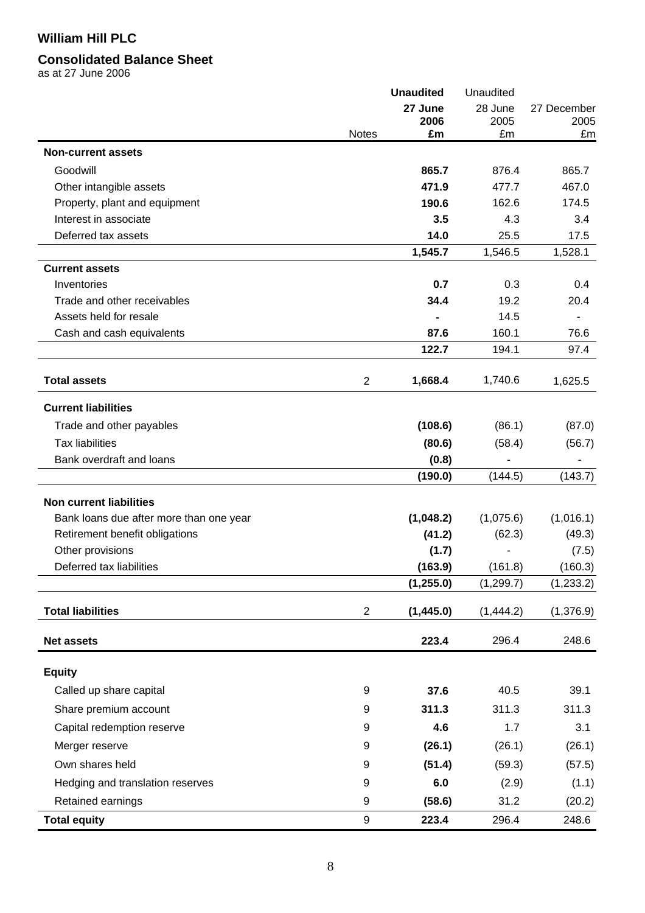# **Consolidated Balance Sheet**

as at 27 June 2006

|                                         |                | <b>Unaudited</b> | Unaudited  |             |
|-----------------------------------------|----------------|------------------|------------|-------------|
|                                         |                | 27 June          | 28 June    | 27 December |
|                                         | <b>Notes</b>   | 2006<br>£m       | 2005<br>£m | 2005<br>£m  |
|                                         |                |                  |            |             |
| <b>Non-current assets</b>               |                |                  |            |             |
| Goodwill                                |                | 865.7            | 876.4      | 865.7       |
| Other intangible assets                 |                | 471.9            | 477.7      | 467.0       |
| Property, plant and equipment           |                | 190.6            | 162.6      | 174.5       |
| Interest in associate                   |                | 3.5              | 4.3        | 3.4         |
| Deferred tax assets                     |                | 14.0             | 25.5       | 17.5        |
|                                         |                | 1,545.7          | 1,546.5    | 1,528.1     |
| <b>Current assets</b>                   |                |                  |            |             |
| Inventories                             |                | 0.7              | 0.3        | 0.4         |
| Trade and other receivables             |                | 34.4             | 19.2       | 20.4        |
| Assets held for resale                  |                |                  | 14.5       |             |
| Cash and cash equivalents               |                | 87.6             | 160.1      | 76.6        |
|                                         |                | 122.7            | 194.1      | 97.4        |
| <b>Total assets</b>                     | $\overline{2}$ | 1,668.4          | 1,740.6    | 1,625.5     |
| <b>Current liabilities</b>              |                |                  |            |             |
| Trade and other payables                |                | (108.6)          | (86.1)     | (87.0)      |
| <b>Tax liabilities</b>                  |                |                  |            |             |
| Bank overdraft and loans                |                | (80.6)           | (58.4)     | (56.7)      |
|                                         |                | (0.8)<br>(190.0) | (144.5)    | (143.7)     |
|                                         |                |                  |            |             |
| <b>Non current liabilities</b>          |                |                  |            |             |
| Bank loans due after more than one year |                | (1,048.2)        | (1,075.6)  | (1,016.1)   |
| Retirement benefit obligations          |                | (41.2)           | (62.3)     | (49.3)      |
| Other provisions                        |                | (1.7)            |            | (7.5)       |
| Deferred tax liabilities                |                | (163.9)          | (161.8)    | (160.3)     |
|                                         |                | (1, 255.0)       | (1, 299.7) | (1, 233.2)  |
| <b>Total liabilities</b>                | $\overline{c}$ | (1,445.0)        | (1,444.2)  | (1,376.9)   |
| <b>Net assets</b>                       |                | 223.4            | 296.4      | 248.6       |
|                                         |                |                  |            |             |
| <b>Equity</b>                           |                |                  |            |             |
| Called up share capital                 | 9              | 37.6             | 40.5       | 39.1        |
| Share premium account                   | 9              | 311.3            | 311.3      | 311.3       |
| Capital redemption reserve              | 9              | 4.6              | 1.7        | 3.1         |
| Merger reserve                          | 9              | (26.1)           | (26.1)     | (26.1)      |
| Own shares held                         | 9              | (51.4)           | (59.3)     | (57.5)      |
| Hedging and translation reserves        | 9              | 6.0              | (2.9)      | (1.1)       |
| Retained earnings                       | 9              | (58.6)           | 31.2       | (20.2)      |
| <b>Total equity</b>                     | 9              | 223.4            | 296.4      | 248.6       |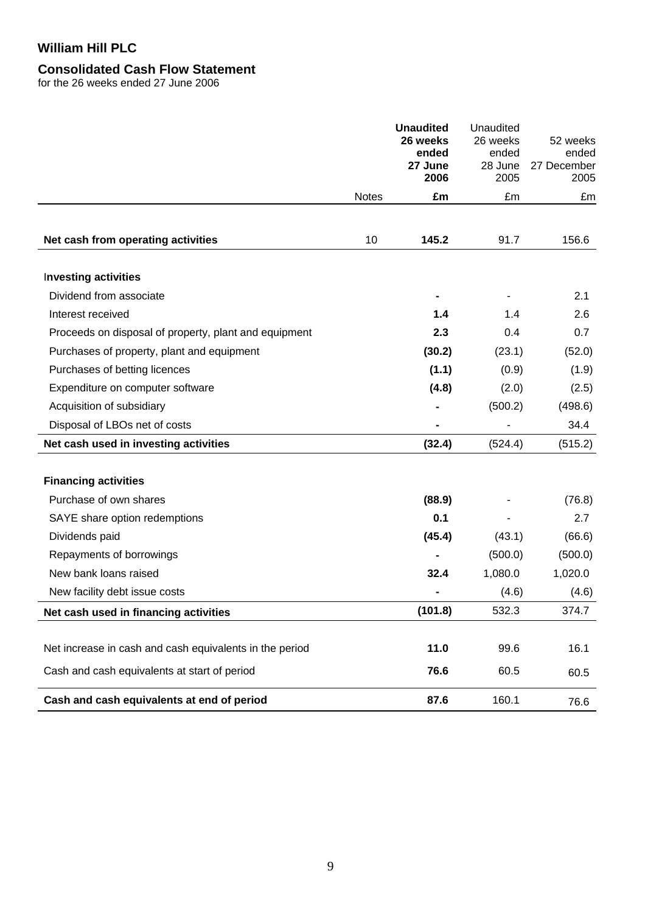# **Consolidated Cash Flow Statement**

for the 26 weeks ended 27 June 2006

|                                                         |              | <b>Unaudited</b><br>26 weeks<br>ended<br>27 June<br>2006 | Unaudited<br>26 weeks<br>ended<br>28 June<br>2005 | 52 weeks<br>ended<br>27 December<br>2005 |
|---------------------------------------------------------|--------------|----------------------------------------------------------|---------------------------------------------------|------------------------------------------|
|                                                         | <b>Notes</b> | £m                                                       | £m                                                | £m                                       |
| Net cash from operating activities                      | 10           | 145.2                                                    | 91.7                                              | 156.6                                    |
| <b>Investing activities</b>                             |              |                                                          |                                                   |                                          |
| Dividend from associate                                 |              |                                                          |                                                   | 2.1                                      |
| Interest received                                       |              | 1.4                                                      | 1.4                                               | 2.6                                      |
| Proceeds on disposal of property, plant and equipment   |              | 2.3                                                      | 0.4                                               | 0.7                                      |
| Purchases of property, plant and equipment              |              | (30.2)                                                   | (23.1)                                            | (52.0)                                   |
| Purchases of betting licences                           |              | (1.1)                                                    | (0.9)                                             | (1.9)                                    |
| Expenditure on computer software                        |              | (4.8)                                                    | (2.0)                                             | (2.5)                                    |
| Acquisition of subsidiary                               |              |                                                          | (500.2)                                           | (498.6)                                  |
| Disposal of LBOs net of costs                           |              |                                                          |                                                   | 34.4                                     |
| Net cash used in investing activities                   |              | (32.4)                                                   | (524.4)                                           | (515.2)                                  |
| <b>Financing activities</b>                             |              |                                                          |                                                   |                                          |
| Purchase of own shares                                  |              | (88.9)                                                   |                                                   | (76.8)                                   |
| SAYE share option redemptions                           |              | 0.1                                                      |                                                   | 2.7                                      |
| Dividends paid                                          |              | (45.4)                                                   | (43.1)                                            | (66.6)                                   |
| Repayments of borrowings                                |              |                                                          | (500.0)                                           | (500.0)                                  |
| New bank loans raised                                   |              | 32.4                                                     | 1,080.0                                           | 1,020.0                                  |
| New facility debt issue costs                           |              |                                                          | (4.6)                                             | (4.6)                                    |
| Net cash used in financing activities                   |              | (101.8)                                                  | 532.3                                             | 374.7                                    |
| Net increase in cash and cash equivalents in the period |              | 11.0                                                     | 99.6                                              | 16.1                                     |
| Cash and cash equivalents at start of period            |              | 76.6                                                     | 60.5                                              | 60.5                                     |
| Cash and cash equivalents at end of period              |              | 87.6                                                     | 160.1                                             | 76.6                                     |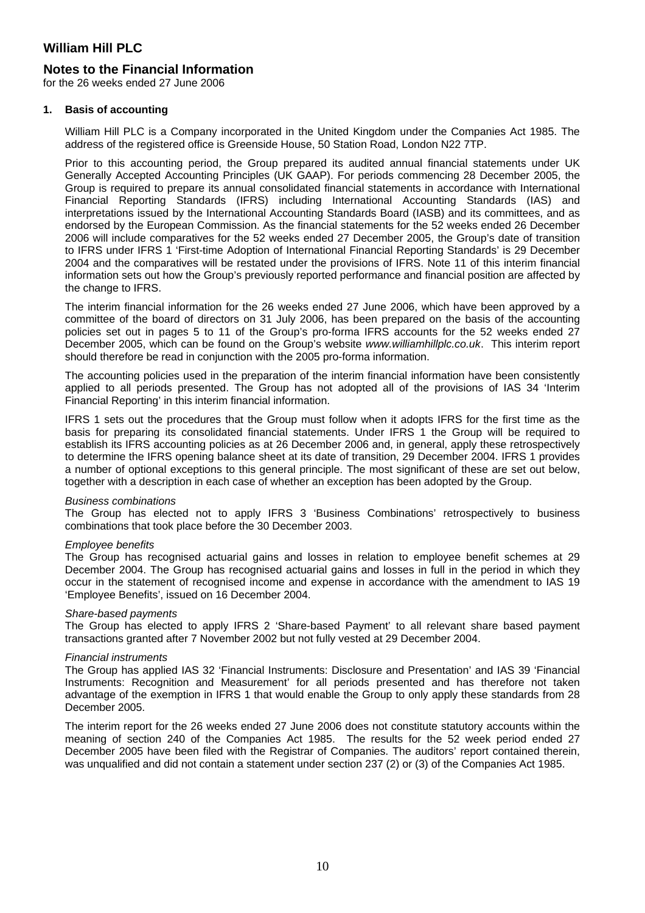### **Notes to the Financial Information**

for the 26 weeks ended 27 June 2006

#### **1. Basis of accounting**

William Hill PLC is a Company incorporated in the United Kingdom under the Companies Act 1985. The address of the registered office is Greenside House, 50 Station Road, London N22 7TP.

Prior to this accounting period, the Group prepared its audited annual financial statements under UK Generally Accepted Accounting Principles (UK GAAP). For periods commencing 28 December 2005, the Group is required to prepare its annual consolidated financial statements in accordance with International Financial Reporting Standards (IFRS) including International Accounting Standards (IAS) and interpretations issued by the International Accounting Standards Board (IASB) and its committees, and as endorsed by the European Commission. As the financial statements for the 52 weeks ended 26 December 2006 will include comparatives for the 52 weeks ended 27 December 2005, the Group's date of transition to IFRS under IFRS 1 'First-time Adoption of International Financial Reporting Standards' is 29 December 2004 and the comparatives will be restated under the provisions of IFRS. Note 11 of this interim financial information sets out how the Group's previously reported performance and financial position are affected by the change to IFRS.

The interim financial information for the 26 weeks ended 27 June 2006, which have been approved by a committee of the board of directors on 31 July 2006, has been prepared on the basis of the accounting policies set out in pages 5 to 11 of the Group's pro-forma IFRS accounts for the 52 weeks ended 27 December 2005, which can be found on the Group's website *www.williamhillplc.co.uk*. This interim report should therefore be read in conjunction with the 2005 pro-forma information.

The accounting policies used in the preparation of the interim financial information have been consistently applied to all periods presented. The Group has not adopted all of the provisions of IAS 34 'Interim Financial Reporting' in this interim financial information.

IFRS 1 sets out the procedures that the Group must follow when it adopts IFRS for the first time as the basis for preparing its consolidated financial statements. Under IFRS 1 the Group will be required to establish its IFRS accounting policies as at 26 December 2006 and, in general, apply these retrospectively to determine the IFRS opening balance sheet at its date of transition, 29 December 2004. IFRS 1 provides a number of optional exceptions to this general principle. The most significant of these are set out below, together with a description in each case of whether an exception has been adopted by the Group.

#### *Business combinations*

The Group has elected not to apply IFRS 3 'Business Combinations' retrospectively to business combinations that took place before the 30 December 2003.

#### *Employee benefits*

The Group has recognised actuarial gains and losses in relation to employee benefit schemes at 29 December 2004. The Group has recognised actuarial gains and losses in full in the period in which they occur in the statement of recognised income and expense in accordance with the amendment to IAS 19 'Employee Benefits', issued on 16 December 2004.

#### *Share-based payments*

The Group has elected to apply IFRS 2 'Share-based Payment' to all relevant share based payment transactions granted after 7 November 2002 but not fully vested at 29 December 2004.

#### *Financial instruments*

The Group has applied IAS 32 'Financial Instruments: Disclosure and Presentation' and IAS 39 'Financial Instruments: Recognition and Measurement' for all periods presented and has therefore not taken advantage of the exemption in IFRS 1 that would enable the Group to only apply these standards from 28 December 2005.

The interim report for the 26 weeks ended 27 June 2006 does not constitute statutory accounts within the meaning of section 240 of the Companies Act 1985. The results for the 52 week period ended 27 December 2005 have been filed with the Registrar of Companies. The auditors' report contained therein, was unqualified and did not contain a statement under section 237 (2) or (3) of the Companies Act 1985.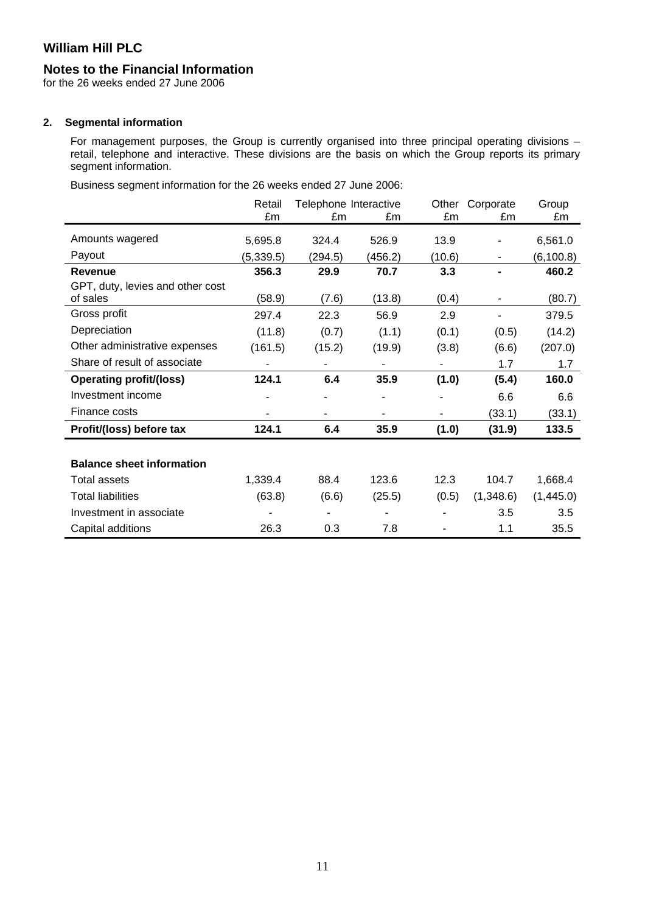### **Notes to the Financial Information**

for the 26 weeks ended 27 June 2006

#### **2. Segmental information**

For management purposes, the Group is currently organised into three principal operating divisions – retail, telephone and interactive. These divisions are the basis on which the Group reports its primary segment information.

Business segment information for the 26 weeks ended 27 June 2006:

|                                  | Retail<br>£m | Telephone Interactive<br>£m<br>£m |         | Other<br>Corporate<br>£m<br>£m |           | Group<br>£m |
|----------------------------------|--------------|-----------------------------------|---------|--------------------------------|-----------|-------------|
|                                  |              |                                   |         |                                |           |             |
| Amounts wagered                  | 5,695.8      | 324.4                             | 526.9   | 13.9                           |           | 6,561.0     |
| Payout                           | (5, 339.5)   | (294.5)                           | (456.2) | (10.6)                         | ۰         | (6, 100.8)  |
| <b>Revenue</b>                   | 356.3        | 29.9                              | 70.7    | 3.3                            |           | 460.2       |
| GPT, duty, levies and other cost |              |                                   |         |                                |           |             |
| of sales                         | (58.9)       | (7.6)                             | (13.8)  | (0.4)                          |           | (80.7)      |
| Gross profit                     | 297.4        | 22.3                              | 56.9    | 2.9                            | ٠         | 379.5       |
| Depreciation                     | (11.8)       | (0.7)                             | (1.1)   | (0.1)                          | (0.5)     | (14.2)      |
| Other administrative expenses    | (161.5)      | (15.2)                            | (19.9)  | (3.8)                          | (6.6)     | (207.0)     |
| Share of result of associate     |              |                                   |         |                                | 1.7       | 1.7         |
| <b>Operating profit/(loss)</b>   | 124.1        | 6.4                               | 35.9    | (1.0)                          | (5.4)     | 160.0       |
| Investment income                |              |                                   | ٠       |                                | 6.6       | 6.6         |
| Finance costs                    |              |                                   |         |                                | (33.1)    | (33.1)      |
| Profit/(loss) before tax         | 124.1        | 6.4                               | 35.9    | (1.0)                          | (31.9)    | 133.5       |
|                                  |              |                                   |         |                                |           |             |
| <b>Balance sheet information</b> |              |                                   |         |                                |           |             |
| <b>Total assets</b>              | 1,339.4      | 88.4                              | 123.6   | 12.3                           | 104.7     | 1,668.4     |
| <b>Total liabilities</b>         | (63.8)       | (6.6)                             | (25.5)  | (0.5)                          | (1,348.6) | (1,445.0)   |
| Investment in associate          |              |                                   |         |                                | 3.5       | 3.5         |
| Capital additions                | 26.3         | 0.3                               | 7.8     |                                | 1.1       | 35.5        |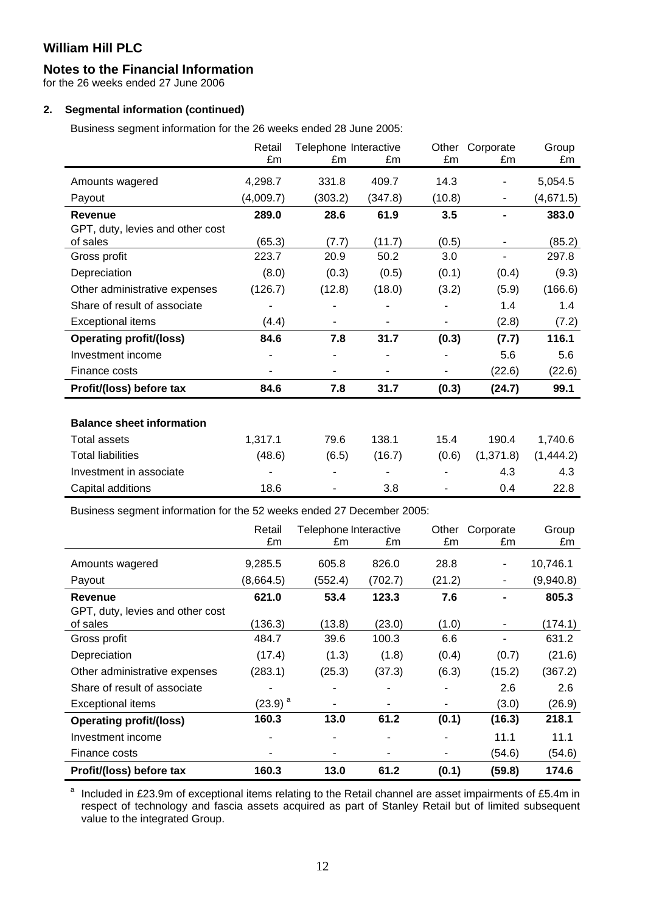### **Notes to the Financial Information**

for the 26 weeks ended 27 June 2006

### **2. Segmental information (continued)**

Business segment information for the 26 weeks ended 28 June 2005:

|                                  | Retail    | Telephone Interactive |         | Other  | Corporate | Group     |
|----------------------------------|-----------|-----------------------|---------|--------|-----------|-----------|
|                                  | £m        | £m                    | £m      | £m     | £m        | £m        |
| Amounts wagered                  | 4,298.7   | 331.8                 | 409.7   | 14.3   |           | 5,054.5   |
| Payout                           | (4,009.7) | (303.2)               | (347.8) | (10.8) |           | (4,671.5) |
| Revenue                          | 289.0     | 28.6                  | 61.9    | 3.5    |           | 383.0     |
| GPT, duty, levies and other cost |           |                       |         |        |           |           |
| of sales                         | (65.3)    | (7.7)                 | (11.7)  | (0.5)  |           | (85.2)    |
| Gross profit                     | 223.7     | 20.9                  | 50.2    | 3.0    |           | 297.8     |
| Depreciation                     | (8.0)     | (0.3)                 | (0.5)   | (0.1)  | (0.4)     | (9.3)     |
| Other administrative expenses    | (126.7)   | (12.8)                | (18.0)  | (3.2)  | (5.9)     | (166.6)   |
| Share of result of associate     |           |                       |         |        | 1.4       | 1.4       |
| <b>Exceptional items</b>         | (4.4)     |                       |         |        | (2.8)     | (7.2)     |
| <b>Operating profit/(loss)</b>   | 84.6      | 7.8                   | 31.7    | (0.3)  | (7.7)     | 116.1     |
| Investment income                |           |                       |         |        | 5.6       | 5.6       |
| Finance costs                    |           |                       |         |        | (22.6)    | (22.6)    |
| Profit/(loss) before tax         | 84.6      | 7.8                   | 31.7    | (0.3)  | (24.7)    | 99.1      |
|                                  |           |                       |         |        |           |           |
| <b>Balance sheet information</b> |           |                       |         |        |           |           |
| <b>Total assets</b>              | 1,317.1   | 79.6                  | 138.1   | 15.4   | 190.4     | 1,740.6   |
| <b>Total liabilities</b>         | (48.6)    | (6.5)                 | (16.7)  | (0.6)  | (1,371.8) | (1,444.2) |
| Investment in associate          |           |                       |         |        | 4.3       | 4.3       |
| Capital additions                | 18.6      |                       | 3.8     |        | 0.4       | 22.8      |

Business segment information for the 52 weeks ended 27 December 2005:

|                                  | Retail                | Telephone Interactive |         | Other  | Corporate | Group     |
|----------------------------------|-----------------------|-----------------------|---------|--------|-----------|-----------|
|                                  | £m                    | £m                    | £m      | £m     | £m        | £m        |
| Amounts wagered                  | 9,285.5               | 605.8                 | 826.0   | 28.8   | ٠         | 10,746.1  |
| Payout                           | (8,664.5)             | (552.4)               | (702.7) | (21.2) | ۰         | (9,940.8) |
| <b>Revenue</b>                   | 621.0                 | 53.4                  | 123.3   | 7.6    |           | 805.3     |
| GPT, duty, levies and other cost |                       |                       |         |        |           |           |
| of sales                         | (136.3)               | (13.8)                | (23.0)  | (1.0)  |           | (174.1)   |
| Gross profit                     | 484.7                 | 39.6                  | 100.3   | 6.6    |           | 631.2     |
| Depreciation                     | (17.4)                | (1.3)                 | (1.8)   | (0.4)  | (0.7)     | (21.6)    |
| Other administrative expenses    | (283.1)               | (25.3)                | (37.3)  | (6.3)  | (15.2)    | (367.2)   |
| Share of result of associate     |                       |                       |         | ۰      | 2.6       | 2.6       |
| <b>Exceptional items</b>         | $(23.9)$ <sup>a</sup> |                       |         |        | (3.0)     | (26.9)    |
| <b>Operating profit/(loss)</b>   | 160.3                 | 13.0                  | 61.2    | (0.1)  | (16.3)    | 218.1     |
| Investment income                |                       |                       |         |        | 11.1      | 11.1      |
| Finance costs                    |                       |                       |         | ۰      | (54.6)    | (54.6)    |
| Profit/(loss) before tax         | 160.3                 | 13.0                  | 61.2    | (0.1)  | (59.8)    | 174.6     |

a Included in £23.9m of exceptional items relating to the Retail channel are asset impairments of £5.4m in respect of technology and fascia assets acquired as part of Stanley Retail but of limited subsequent value to the integrated Group.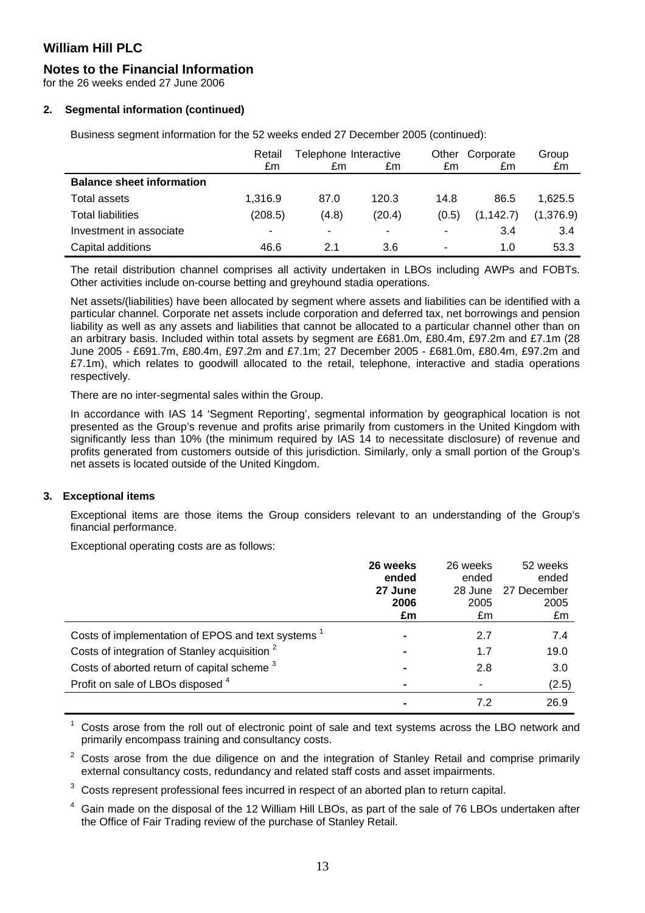# **Notes to the Financial Information**

for the 26 weeks ended 27 June 2006

### **2. Segmental information (continued)**

Business segment information for the 52 weeks ended 27 December 2005 (continued):

|                                  | Retail  | Telephone Interactive |        | Other | Corporate  | Group     |
|----------------------------------|---------|-----------------------|--------|-------|------------|-----------|
|                                  | £m      | £m                    | £m     | £m    | £m         | £m        |
| <b>Balance sheet information</b> |         |                       |        |       |            |           |
| Total assets                     | 1.316.9 | 87.0                  | 120.3  | 14.8  | 86.5       | 1.625.5   |
| <b>Total liabilities</b>         | (208.5) | (4.8)                 | (20.4) | (0.5) | (1, 142.7) | (1,376.9) |
| Investment in associate          | ٠       | ۰                     | ٠      |       | 3.4        | 3.4       |
| Capital additions                | 46.6    | 2.1                   | 3.6    | ٠     | 1.0        | 53.3      |

The retail distribution channel comprises all activity undertaken in LBOs including AWPs and FOBTs. Other activities include on-course betting and greyhound stadia operations.

Net assets/(liabilities) have been allocated by segment where assets and liabilities can be identified with a particular channel. Corporate net assets include corporation and deferred tax, net borrowings and pension liability as well as any assets and liabilities that cannot be allocated to a particular channel other than on an arbitrary basis. Included within total assets by segment are £681.0m, £80.4m, £97.2m and £7.1m (28 June 2005 - £691.7m, £80.4m, £97.2m and £7.1m; 27 December 2005 - £681.0m, £80.4m, £97.2m and £7.1m), which relates to goodwill allocated to the retail, telephone, interactive and stadia operations respectively.

There are no inter-segmental sales within the Group.

In accordance with IAS 14 'Segment Reporting', segmental information by geographical location is not presented as the Group's revenue and profits arise primarily from customers in the United Kingdom with significantly less than 10% (the minimum required by IAS 14 to necessitate disclosure) of revenue and profits generated from customers outside of this jurisdiction. Similarly, only a small portion of the Group's net assets is located outside of the United Kingdom.

### **3. Exceptional items**

Exceptional items are those items the Group considers relevant to an understanding of the Group's financial performance.

Exceptional operating costs are as follows:

|                                                          | 26 weeks<br>ended | 26 weeks<br>ended | 52 weeks<br>ended |
|----------------------------------------------------------|-------------------|-------------------|-------------------|
|                                                          | 27 June           | 28 June           | 27 December       |
|                                                          | 2006              | 2005              | 2005              |
|                                                          | £m                | £m                | £m                |
| Costs of implementation of EPOS and text systems         |                   | 2.7               | 7.4               |
| Costs of integration of Stanley acquisition <sup>2</sup> |                   | 1.7               | 19.0              |
| Costs of aborted return of capital scheme <sup>3</sup>   |                   | 2.8               | 3.0               |
| Profit on sale of LBOs disposed 4                        |                   |                   | (2.5)             |
|                                                          |                   | 72                | 26.9              |

1 Costs arose from the roll out of electronic point of sale and text systems across the LBO network and primarily encompass training and consultancy costs.

2 Costs arose from the due diligence on and the integration of Stanley Retail and comprise primarily external consultancy costs, redundancy and related staff costs and asset impairments.

3 Costs represent professional fees incurred in respect of an aborted plan to return capital.

4 Gain made on the disposal of the 12 William Hill LBOs, as part of the sale of 76 LBOs undertaken after the Office of Fair Trading review of the purchase of Stanley Retail.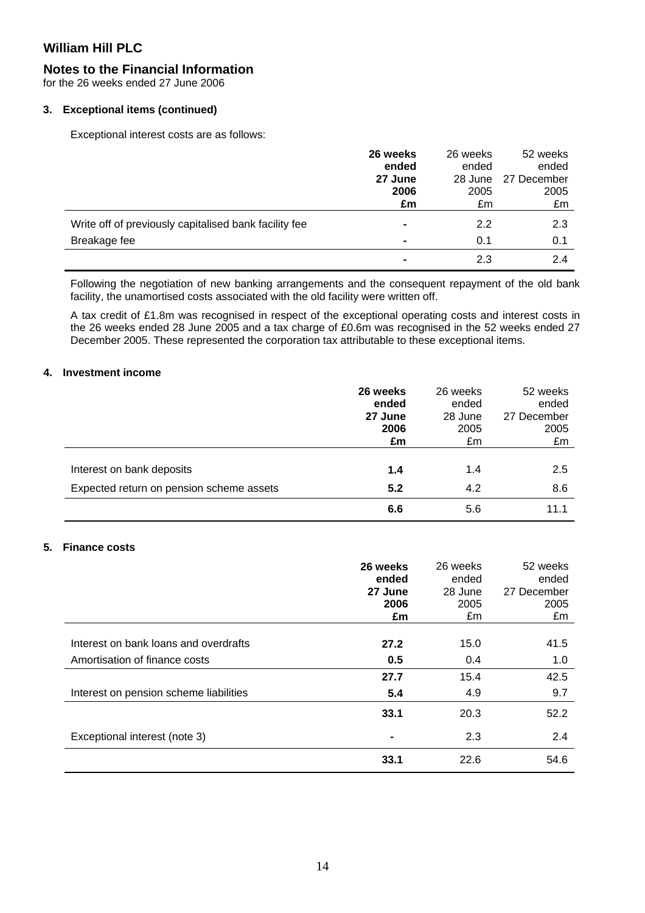### **Notes to the Financial Information**

for the 26 weeks ended 27 June 2006

#### **3. Exceptional items (continued)**

Exceptional interest costs are as follows:

|                                                       | 26 weeks       | 26 weeks | 52 weeks    |
|-------------------------------------------------------|----------------|----------|-------------|
|                                                       | ended          | ended    | ended       |
|                                                       | 27 June        | 28 June  | 27 December |
|                                                       | 2006           | 2005     | 2005        |
|                                                       | £m             | £m       | £m          |
| Write off of previously capitalised bank facility fee | $\blacksquare$ | 2.2      | 2.3         |
| Breakage fee                                          | $\blacksquare$ | 0.1      | 0.1         |
|                                                       |                | 2.3      | 2.4         |

Following the negotiation of new banking arrangements and the consequent repayment of the old bank facility, the unamortised costs associated with the old facility were written off.

A tax credit of £1.8m was recognised in respect of the exceptional operating costs and interest costs in the 26 weeks ended 28 June 2005 and a tax charge of £0.6m was recognised in the 52 weeks ended 27 December 2005. These represented the corporation tax attributable to these exceptional items.

#### **4. Investment income**

|                                          | 26 weeks | 26 weeks | 52 weeks    |
|------------------------------------------|----------|----------|-------------|
|                                          | ended    | ended    | ended       |
|                                          | 27 June  | 28 June  | 27 December |
|                                          | 2006     | 2005     | 2005        |
|                                          | £m       | £m       | £m          |
| Interest on bank deposits                | 1.4      | 1.4      | 2.5         |
| Expected return on pension scheme assets | 5.2      | 4.2      | 8.6         |
|                                          | 6.6      | 5.6      | 11.1        |

### **5. Finance costs**

|                                        | 26 weeks | 26 weeks | 52 weeks    |
|----------------------------------------|----------|----------|-------------|
|                                        | ended    | ended    | ended       |
|                                        | 27 June  | 28 June  | 27 December |
|                                        | 2006     | 2005     | 2005        |
|                                        | £m       | £m       | £m          |
|                                        |          |          |             |
| Interest on bank loans and overdrafts  | 27.2     | 15.0     | 41.5        |
| Amortisation of finance costs          | 0.5      | 0.4      | 1.0         |
|                                        | 27.7     | 15.4     | 42.5        |
| Interest on pension scheme liabilities | 5.4      | 4.9      | 9.7         |
|                                        | 33.1     | 20.3     | 52.2        |
| Exceptional interest (note 3)          |          | 2.3      | 2.4         |
|                                        | 33.1     | 22.6     | 54.6        |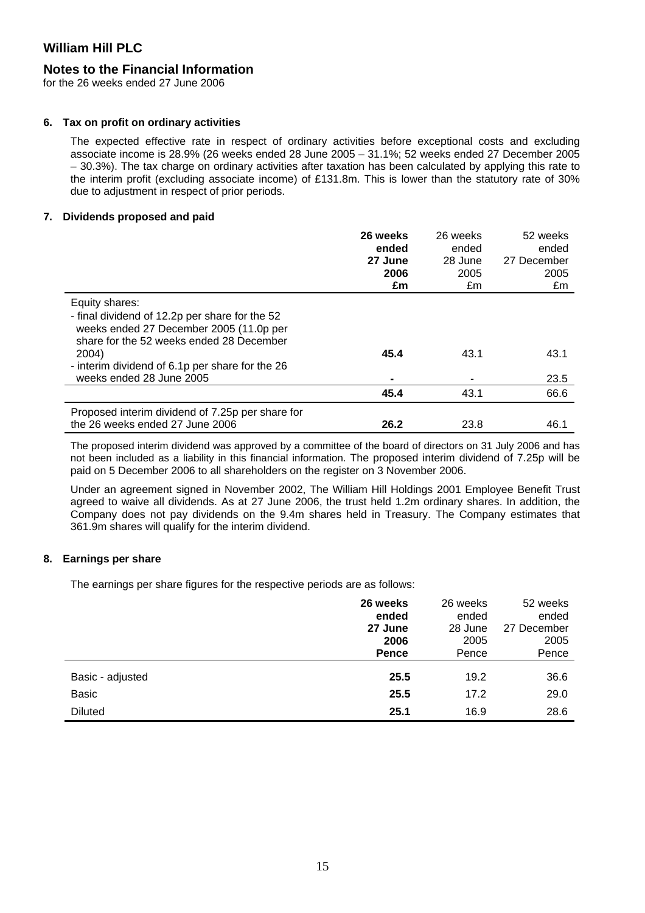### **Notes to the Financial Information**

for the 26 weeks ended 27 June 2006

#### **6. Tax on profit on ordinary activities**

The expected effective rate in respect of ordinary activities before exceptional costs and excluding associate income is 28.9% (26 weeks ended 28 June 2005 – 31.1%; 52 weeks ended 27 December 2005 – 30.3%). The tax charge on ordinary activities after taxation has been calculated by applying this rate to the interim profit (excluding associate income) of £131.8m. This is lower than the statutory rate of 30% due to adjustment in respect of prior periods.

#### **7. Dividends proposed and paid**

|                                                                                                                                       | 26 weeks<br>ended<br>27 June<br>2006<br>£m | 26 weeks<br>ended<br>28 June<br>2005<br>£m | 52 weeks<br>ended<br>27 December<br>2005<br>£m |
|---------------------------------------------------------------------------------------------------------------------------------------|--------------------------------------------|--------------------------------------------|------------------------------------------------|
| Equity shares:                                                                                                                        |                                            |                                            |                                                |
| - final dividend of 12.2p per share for the 52<br>weeks ended 27 December 2005 (11.0p per<br>share for the 52 weeks ended 28 December |                                            |                                            |                                                |
| 2004)                                                                                                                                 | 45.4                                       | 43.1                                       | 43.1                                           |
| - interim dividend of 6.1p per share for the 26<br>weeks ended 28 June 2005                                                           |                                            |                                            | 23.5                                           |
|                                                                                                                                       | 45.4                                       | 43.1                                       | 66.6                                           |
|                                                                                                                                       |                                            |                                            |                                                |
| Proposed interim dividend of 7.25p per share for<br>the 26 weeks ended 27 June 2006                                                   | 26.2                                       | 23.8                                       | 46.1                                           |

The proposed interim dividend was approved by a committee of the board of directors on 31 July 2006 and has not been included as a liability in this financial information. The proposed interim dividend of 7.25p will be paid on 5 December 2006 to all shareholders on the register on 3 November 2006.

Under an agreement signed in November 2002, The William Hill Holdings 2001 Employee Benefit Trust agreed to waive all dividends. As at 27 June 2006, the trust held 1.2m ordinary shares. In addition, the Company does not pay dividends on the 9.4m shares held in Treasury. The Company estimates that 361.9m shares will qualify for the interim dividend.

### **8. Earnings per share**

The earnings per share figures for the respective periods are as follows:

|                  | 26 weeks     | 26 weeks | 52 weeks    |
|------------------|--------------|----------|-------------|
|                  | ended        | ended    | ended       |
|                  | 27 June      | 28 June  | 27 December |
|                  | 2006         | 2005     | 2005        |
|                  | <b>Pence</b> | Pence    | Pence       |
| Basic - adjusted | 25.5         | 19.2     | 36.6        |
| <b>Basic</b>     | 25.5         | 17.2     | 29.0        |
| <b>Diluted</b>   | 25.1         | 16.9     | 28.6        |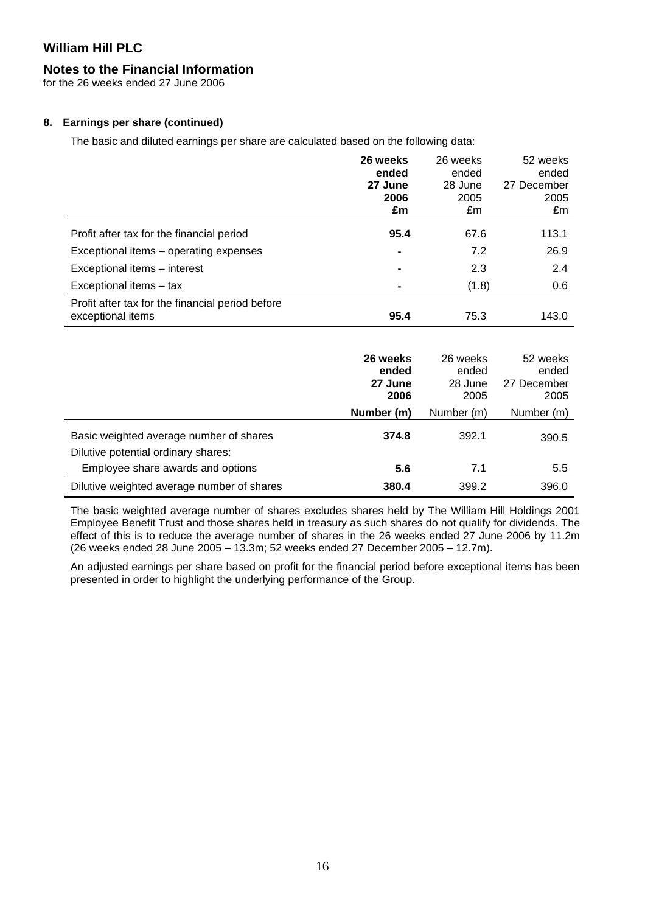# **Notes to the Financial Information**

for the 26 weeks ended 27 June 2006

# **8. Earnings per share (continued)**

The basic and diluted earnings per share are calculated based on the following data:

| 26 weeks<br>ended<br>27 June<br>2006 | 26 weeks<br>ended<br>28 June<br>2005 | 52 weeks<br>ended<br>27 December<br>2005 |
|--------------------------------------|--------------------------------------|------------------------------------------|
|                                      |                                      | £m                                       |
| 95.4                                 | 67.6                                 | 113.1                                    |
| $\blacksquare$                       | 7.2                                  | 26.9                                     |
|                                      | 2.3                                  | 2.4                                      |
|                                      | (1.8)                                | 0.6                                      |
| 95.4                                 | 75.3                                 | 143.0                                    |
|                                      | £m                                   | £m                                       |

|                                                                                | 26 weeks<br>ended<br>27 June<br>2006 | 26 weeks<br>ended<br>28 June<br>2005 | 52 weeks<br>ended<br>27 December<br>2005 |
|--------------------------------------------------------------------------------|--------------------------------------|--------------------------------------|------------------------------------------|
|                                                                                | Number (m)                           | Number (m)                           | Number (m)                               |
| Basic weighted average number of shares<br>Dilutive potential ordinary shares: | 374.8                                | 392.1                                | 390.5                                    |
| Employee share awards and options                                              | 5.6                                  | 7.1                                  | 5.5                                      |
| Dilutive weighted average number of shares                                     | 380.4                                | 399.2                                | 396.0                                    |

The basic weighted average number of shares excludes shares held by The William Hill Holdings 2001 Employee Benefit Trust and those shares held in treasury as such shares do not qualify for dividends. The effect of this is to reduce the average number of shares in the 26 weeks ended 27 June 2006 by 11.2m (26 weeks ended 28 June 2005 – 13.3m; 52 weeks ended 27 December 2005 – 12.7m).

An adjusted earnings per share based on profit for the financial period before exceptional items has been presented in order to highlight the underlying performance of the Group.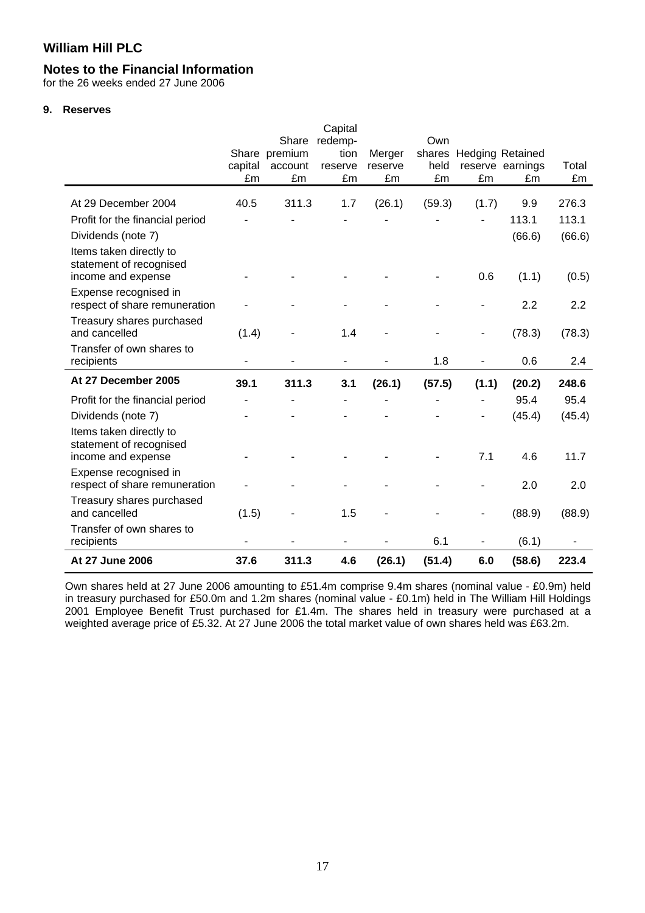### **Notes to the Financial Information**

for the 26 weeks ended 27 June 2006

#### **9. Reserves**

|                                                                          | capital<br>£m | Share<br>Share premium<br>account<br>£m | Capital<br>redemp-<br>tion<br>reserve<br>£m | Merger<br>reserve<br>£m | Own<br>held<br>£m | £m                       | shares Hedging Retained<br>reserve earnings<br>£m | Total<br>£m |
|--------------------------------------------------------------------------|---------------|-----------------------------------------|---------------------------------------------|-------------------------|-------------------|--------------------------|---------------------------------------------------|-------------|
| At 29 December 2004                                                      | 40.5          | 311.3                                   | 1.7                                         | (26.1)                  | (59.3)            | (1.7)                    | 9.9                                               | 276.3       |
| Profit for the financial period                                          |               |                                         |                                             |                         |                   |                          | 113.1                                             | 113.1       |
| Dividends (note 7)                                                       |               |                                         |                                             |                         |                   |                          | (66.6)                                            | (66.6)      |
| Items taken directly to<br>statement of recognised<br>income and expense |               |                                         |                                             |                         |                   | 0.6                      | (1.1)                                             | (0.5)       |
| Expense recognised in<br>respect of share remuneration                   |               |                                         |                                             |                         |                   |                          | 2.2                                               | 2.2         |
| Treasury shares purchased<br>and cancelled                               | (1.4)         |                                         | 1.4                                         |                         |                   | $\overline{\phantom{a}}$ | (78.3)                                            | (78.3)      |
| Transfer of own shares to<br>recipients                                  |               |                                         |                                             |                         | 1.8               |                          | 0.6                                               | 2.4         |
| At 27 December 2005                                                      | 39.1          | 311.3                                   | 3.1                                         | (26.1)                  | (57.5)            | (1.1)                    | (20.2)                                            | 248.6       |
| Profit for the financial period                                          |               |                                         |                                             |                         |                   |                          | 95.4                                              | 95.4        |
| Dividends (note 7)                                                       |               |                                         |                                             |                         |                   | $\overline{\phantom{0}}$ | (45.4)                                            | (45.4)      |
| Items taken directly to<br>statement of recognised<br>income and expense |               |                                         |                                             |                         |                   | 7.1                      | 4.6                                               | 11.7        |
| Expense recognised in<br>respect of share remuneration                   |               |                                         |                                             |                         |                   |                          | 2.0                                               | 2.0         |
| Treasury shares purchased<br>and cancelled                               | (1.5)         |                                         | 1.5                                         |                         |                   |                          | (88.9)                                            | (88.9)      |
| Transfer of own shares to<br>recipients                                  |               |                                         |                                             |                         | 6.1               |                          | (6.1)                                             |             |
| At 27 June 2006                                                          | 37.6          | 311.3                                   | 4.6                                         | (26.1)                  | (51.4)            | 6.0                      | (58.6)                                            | 223.4       |

Own shares held at 27 June 2006 amounting to £51.4m comprise 9.4m shares (nominal value - £0.9m) held in treasury purchased for £50.0m and 1.2m shares (nominal value - £0.1m) held in The William Hill Holdings 2001 Employee Benefit Trust purchased for £1.4m. The shares held in treasury were purchased at a weighted average price of £5.32. At 27 June 2006 the total market value of own shares held was £63.2m.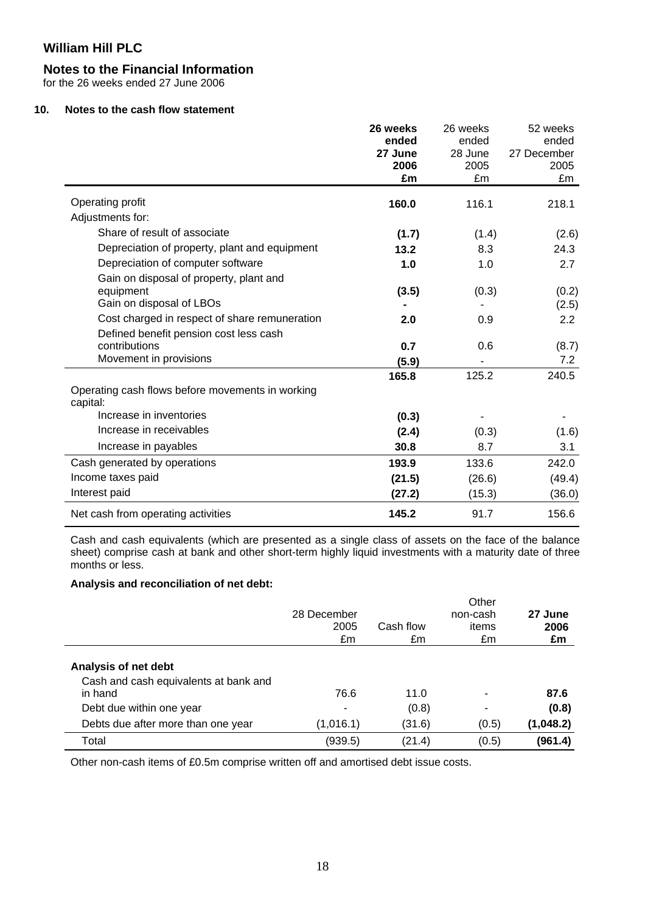### **Notes to the Financial Information**

for the 26 weeks ended 27 June 2006

### **10. Notes to the cash flow statement**

|                                                              | 26 weeks   | 26 weeks | 52 weeks         |
|--------------------------------------------------------------|------------|----------|------------------|
|                                                              | ended      | ended    | ended            |
|                                                              | 27 June    | 28 June  | 27 December      |
|                                                              | 2006<br>£m | 2005     | 2005             |
|                                                              |            | £m       | £m               |
| Operating profit                                             | 160.0      | 116.1    | 218.1            |
| Adjustments for:                                             |            |          |                  |
| Share of result of associate                                 | (1.7)      | (1.4)    | (2.6)            |
| Depreciation of property, plant and equipment                | 13.2       | 8.3      | 24.3             |
| Depreciation of computer software                            | 1.0        | 1.0      | 2.7              |
| Gain on disposal of property, plant and                      |            |          |                  |
| equipment                                                    | (3.5)      | (0.3)    | (0.2)            |
| Gain on disposal of LBOs                                     |            |          | (2.5)            |
| Cost charged in respect of share remuneration                | 2.0        | 0.9      | $2.2\phantom{0}$ |
| Defined benefit pension cost less cash                       |            |          |                  |
| contributions                                                | 0.7        | 0.6      | (8.7)            |
| Movement in provisions                                       | (5.9)      |          | 7.2              |
|                                                              | 165.8      | 125.2    | 240.5            |
| Operating cash flows before movements in working<br>capital: |            |          |                  |
| Increase in inventories                                      | (0.3)      |          |                  |
| Increase in receivables                                      | (2.4)      | (0.3)    | (1.6)            |
| Increase in payables                                         | 30.8       | 8.7      | 3.1              |
| Cash generated by operations                                 | 193.9      | 133.6    | 242.0            |
| Income taxes paid                                            | (21.5)     | (26.6)   | (49.4)           |
| Interest paid                                                | (27.2)     | (15.3)   | (36.0)           |
| Net cash from operating activities                           | 145.2      | 91.7     | 156.6            |

Cash and cash equivalents (which are presented as a single class of assets on the face of the balance sheet) comprise cash at bank and other short-term highly liquid investments with a maturity date of three months or less.

#### **Analysis and reconciliation of net debt:**

|                                                  | 28 December<br>2005<br>£m | Cash flow<br>£m | Other<br>non-cash<br>items<br>£m | 27 June<br>2006<br>£m |
|--------------------------------------------------|---------------------------|-----------------|----------------------------------|-----------------------|
| Analysis of net debt                             |                           |                 |                                  |                       |
| Cash and cash equivalents at bank and<br>in hand | 76.6                      | 11.0            |                                  | 87.6                  |
| Debt due within one year                         | ۰                         | (0.8)           | ۰                                | (0.8)                 |
| Debts due after more than one year               | (1,016.1)                 | (31.6)          | (0.5)                            | (1,048.2)             |
| Total                                            | (939.5)                   | (21.4)          | (0.5)                            | (961.4)               |

Other non-cash items of £0.5m comprise written off and amortised debt issue costs.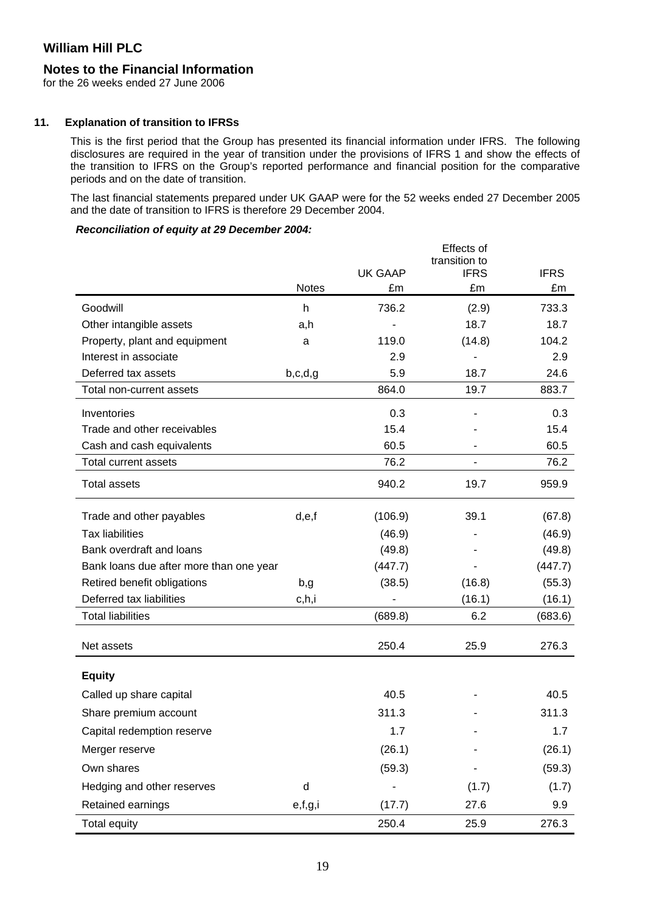### **Notes to the Financial Information**

for the 26 weeks ended 27 June 2006

#### **11. Explanation of transition to IFRSs**

This is the first period that the Group has presented its financial information under IFRS. The following disclosures are required in the year of transition under the provisions of IFRS 1 and show the effects of the transition to IFRS on the Group's reported performance and financial position for the comparative periods and on the date of transition.

The last financial statements prepared under UK GAAP were for the 52 weeks ended 27 December 2005 and the date of transition to IFRS is therefore 29 December 2004.

#### *Reconciliation of equity at 29 December 2004:*

|                                         |              |                | Effects of<br>transition to |             |
|-----------------------------------------|--------------|----------------|-----------------------------|-------------|
|                                         |              | <b>UK GAAP</b> | <b>IFRS</b>                 | <b>IFRS</b> |
|                                         | <b>Notes</b> | £m             | £m                          | £m          |
| Goodwill                                | h            | 736.2          | (2.9)                       | 733.3       |
| Other intangible assets                 | a,h          |                | 18.7                        | 18.7        |
| Property, plant and equipment           | a            | 119.0          | (14.8)                      | 104.2       |
| Interest in associate                   |              | 2.9            |                             | 2.9         |
| Deferred tax assets                     | b,c,d,g      | 5.9            | 18.7                        | 24.6        |
| Total non-current assets                |              | 864.0          | 19.7                        | 883.7       |
| Inventories                             |              | 0.3            |                             | 0.3         |
| Trade and other receivables             |              | 15.4           |                             | 15.4        |
| Cash and cash equivalents               |              | 60.5           |                             | 60.5        |
| Total current assets                    |              | 76.2           | -                           | 76.2        |
| <b>Total assets</b>                     |              | 940.2          | 19.7                        | 959.9       |
| Trade and other payables                | d,e,f        | (106.9)        | 39.1                        | (67.8)      |
| <b>Tax liabilities</b>                  |              | (46.9)         |                             | (46.9)      |
| Bank overdraft and loans                |              | (49.8)         |                             | (49.8)      |
| Bank loans due after more than one year |              | (447.7)        |                             | (447.7)     |
| Retired benefit obligations             | b,g          | (38.5)         | (16.8)                      | (55.3)      |
| Deferred tax liabilities                | c,h,i        |                | (16.1)                      | (16.1)      |
| <b>Total liabilities</b>                |              | (689.8)        | 6.2                         | (683.6)     |
| Net assets                              |              | 250.4          | 25.9                        | 276.3       |
| <b>Equity</b>                           |              |                |                             |             |
| Called up share capital                 |              | 40.5           |                             | 40.5        |
| Share premium account                   |              | 311.3          |                             | 311.3       |
| Capital redemption reserve              |              | 1.7            |                             | 1.7         |
| Merger reserve                          |              | (26.1)         |                             | (26.1)      |
| Own shares                              |              | (59.3)         |                             | (59.3)      |
| Hedging and other reserves              | d            |                | (1.7)                       | (1.7)       |
| Retained earnings                       | e,f,g,i      | (17.7)         | 27.6                        | 9.9         |
| <b>Total equity</b>                     |              | 250.4          | 25.9                        | 276.3       |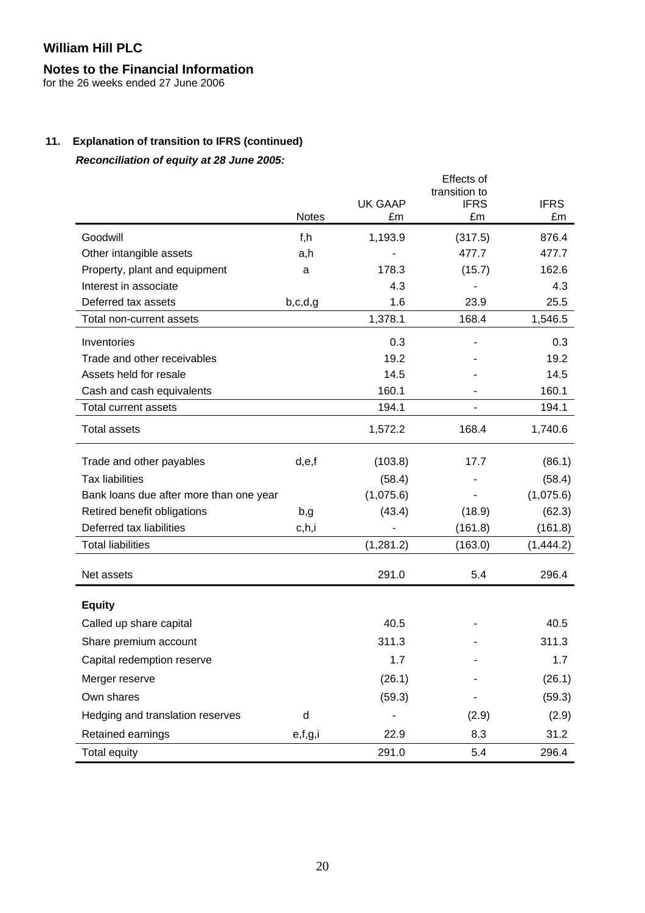# **Notes to the Financial Information**

for the 26 weeks ended 27 June 2006

# **11. Explanation of transition to IFRS (continued)**

*Reconciliation of equity at 28 June 2005:* 

|                                         | <b>Notes</b> | <b>UK GAAP</b><br>£m | Effects of<br>transition to<br><b>IFRS</b><br>£m | <b>IFRS</b><br>£m |
|-----------------------------------------|--------------|----------------------|--------------------------------------------------|-------------------|
| Goodwill                                | f,h          | 1,193.9              | (317.5)                                          | 876.4             |
| Other intangible assets                 | a,h          |                      | 477.7                                            | 477.7             |
| Property, plant and equipment           | a            | 178.3                | (15.7)                                           | 162.6             |
| Interest in associate                   |              | 4.3                  |                                                  | 4.3               |
| Deferred tax assets                     | b,c,d,g      | 1.6                  | 23.9                                             | 25.5              |
| Total non-current assets                |              | 1,378.1              | 168.4                                            | 1,546.5           |
| Inventories                             |              | 0.3                  |                                                  | 0.3               |
| Trade and other receivables             |              | 19.2                 |                                                  | 19.2              |
| Assets held for resale                  |              | 14.5                 |                                                  | 14.5              |
| Cash and cash equivalents               |              | 160.1                |                                                  | 160.1             |
| Total current assets                    |              | 194.1                |                                                  | 194.1             |
| <b>Total assets</b>                     |              | 1,572.2              | 168.4                                            | 1,740.6           |
| Trade and other payables                | d,e,f        | (103.8)              | 17.7                                             | (86.1)            |
| <b>Tax liabilities</b>                  |              | (58.4)               |                                                  | (58.4)            |
| Bank loans due after more than one year |              | (1,075.6)            |                                                  | (1,075.6)         |
| Retired benefit obligations             | b,g          | (43.4)               | (18.9)                                           | (62.3)            |
| Deferred tax liabilities                | c,h,i        |                      | (161.8)                                          | (161.8)           |
| <b>Total liabilities</b>                |              | (1,281.2)            | (163.0)                                          | (1,444.2)         |
| Net assets                              |              | 291.0                | 5.4                                              | 296.4             |
| <b>Equity</b>                           |              |                      |                                                  |                   |
| Called up share capital                 |              | 40.5                 |                                                  | 40.5              |
| Share premium account                   |              | 311.3                |                                                  | 311.3             |
| Capital redemption reserve              |              | 1.7                  |                                                  | 1.7               |
| Merger reserve                          |              | (26.1)               |                                                  | (26.1)            |
| Own shares                              |              | (59.3)               |                                                  | (59.3)            |
| Hedging and translation reserves        | $\sf d$      |                      | (2.9)                                            | (2.9)             |
| Retained earnings                       | e,f,g,i      | 22.9                 | 8.3                                              | 31.2              |
| <b>Total equity</b>                     |              | 291.0                | 5.4                                              | 296.4             |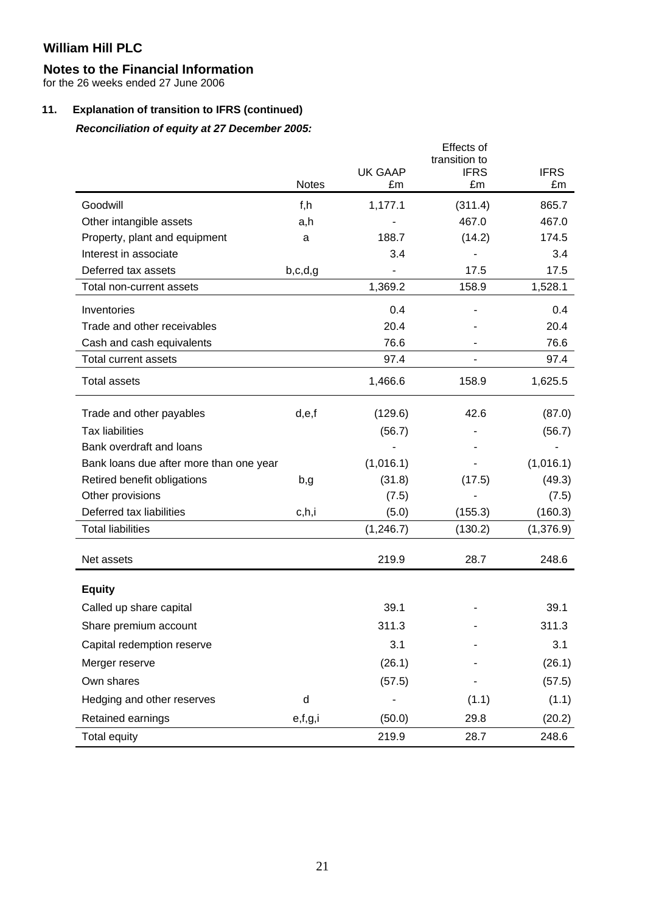# **Notes to the Financial Information**

for the 26 weeks ended 27 June 2006

# **11. Explanation of transition to IFRS (continued)**

# *Reconciliation of equity at 27 December 2005:*

|                                         |              |                | Effects of                   |             |
|-----------------------------------------|--------------|----------------|------------------------------|-------------|
|                                         |              | <b>UK GAAP</b> | transition to<br><b>IFRS</b> | <b>IFRS</b> |
|                                         | <b>Notes</b> | £m             | £m                           | £m          |
| Goodwill                                | f,h          | 1,177.1        | (311.4)                      | 865.7       |
| Other intangible assets                 | a,h          |                | 467.0                        | 467.0       |
| Property, plant and equipment           | a            | 188.7          | (14.2)                       | 174.5       |
| Interest in associate                   |              | 3.4            |                              | 3.4         |
| Deferred tax assets                     | b,c,d,g      |                | 17.5                         | 17.5        |
| Total non-current assets                |              | 1,369.2        | 158.9                        | 1,528.1     |
| Inventories                             |              | 0.4            |                              | 0.4         |
| Trade and other receivables             |              | 20.4           |                              | 20.4        |
| Cash and cash equivalents               |              | 76.6           |                              | 76.6        |
| Total current assets                    |              | 97.4           | -                            | 97.4        |
| <b>Total assets</b>                     |              | 1,466.6        | 158.9                        | 1,625.5     |
| Trade and other payables                | d,e,f        | (129.6)        | 42.6                         | (87.0)      |
| <b>Tax liabilities</b>                  |              | (56.7)         |                              | (56.7)      |
| Bank overdraft and loans                |              |                |                              |             |
| Bank loans due after more than one year |              | (1,016.1)      |                              | (1,016.1)   |
| Retired benefit obligations             | b,g          | (31.8)         | (17.5)                       | (49.3)      |
| Other provisions                        |              | (7.5)          |                              | (7.5)       |
| Deferred tax liabilities                | c,h,i        | (5.0)          | (155.3)                      | (160.3)     |
| <b>Total liabilities</b>                |              | (1, 246.7)     | (130.2)                      | (1,376.9)   |
| Net assets                              |              | 219.9          | 28.7                         | 248.6       |
| <b>Equity</b>                           |              |                |                              |             |
| Called up share capital                 |              | 39.1           |                              | 39.1        |
| Share premium account                   |              | 311.3          |                              | 311.3       |
| Capital redemption reserve              |              | 3.1            |                              | 3.1         |
| Merger reserve                          |              | (26.1)         |                              | (26.1)      |
| Own shares                              |              | (57.5)         |                              | (57.5)      |
| Hedging and other reserves              | d            |                | (1.1)                        | (1.1)       |
| Retained earnings                       | e,f,g,i      | (50.0)         | 29.8                         | (20.2)      |
| <b>Total equity</b>                     |              | 219.9          | 28.7                         | 248.6       |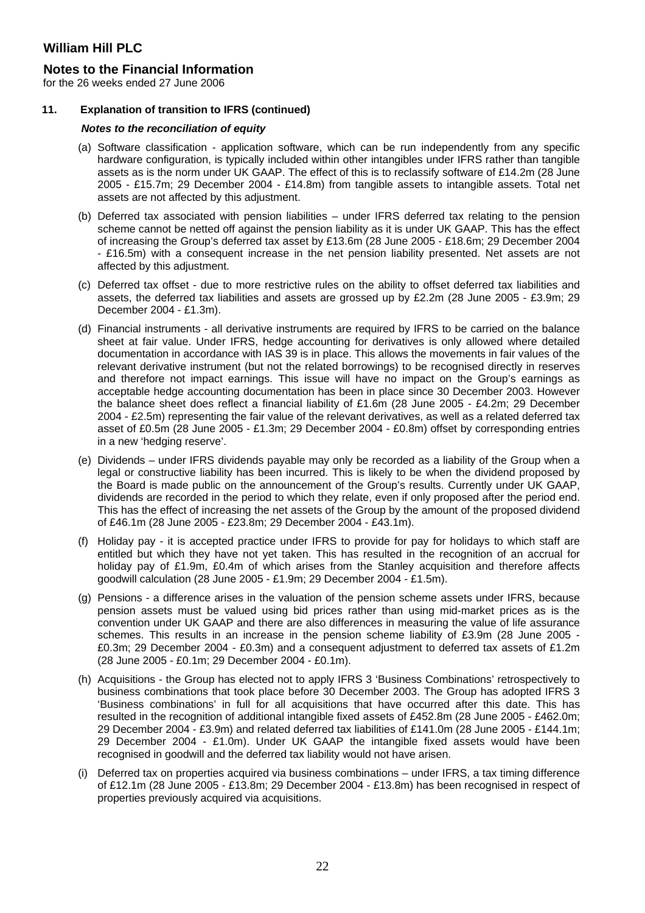### **Notes to the Financial Information**

for the 26 weeks ended 27 June 2006

#### **11. Explanation of transition to IFRS (continued)**

#### *Notes to the reconciliation of equity*

- (a) Software classification application software, which can be run independently from any specific hardware configuration, is typically included within other intangibles under IFRS rather than tangible assets as is the norm under UK GAAP. The effect of this is to reclassify software of £14.2m (28 June 2005 - £15.7m; 29 December 2004 - £14.8m) from tangible assets to intangible assets. Total net assets are not affected by this adjustment.
- (b) Deferred tax associated with pension liabilities under IFRS deferred tax relating to the pension scheme cannot be netted off against the pension liability as it is under UK GAAP. This has the effect of increasing the Group's deferred tax asset by £13.6m (28 June 2005 - £18.6m; 29 December 2004 - £16.5m) with a consequent increase in the net pension liability presented. Net assets are not affected by this adjustment.
- (c) Deferred tax offset due to more restrictive rules on the ability to offset deferred tax liabilities and assets, the deferred tax liabilities and assets are grossed up by £2.2m (28 June 2005 - £3.9m; 29 December 2004 - £1.3m).
- (d) Financial instruments all derivative instruments are required by IFRS to be carried on the balance sheet at fair value. Under IFRS, hedge accounting for derivatives is only allowed where detailed documentation in accordance with IAS 39 is in place. This allows the movements in fair values of the relevant derivative instrument (but not the related borrowings) to be recognised directly in reserves and therefore not impact earnings. This issue will have no impact on the Group's earnings as acceptable hedge accounting documentation has been in place since 30 December 2003. However the balance sheet does reflect a financial liability of £1.6m (28 June 2005 - £4.2m; 29 December 2004 - £2.5m) representing the fair value of the relevant derivatives, as well as a related deferred tax asset of £0.5m (28 June 2005 - £1.3m; 29 December 2004 - £0.8m) offset by corresponding entries in a new 'hedging reserve'.
- (e) Dividends under IFRS dividends payable may only be recorded as a liability of the Group when a legal or constructive liability has been incurred. This is likely to be when the dividend proposed by the Board is made public on the announcement of the Group's results. Currently under UK GAAP, dividends are recorded in the period to which they relate, even if only proposed after the period end. This has the effect of increasing the net assets of the Group by the amount of the proposed dividend of £46.1m (28 June 2005 - £23.8m; 29 December 2004 - £43.1m).
- (f) Holiday pay it is accepted practice under IFRS to provide for pay for holidays to which staff are entitled but which they have not yet taken. This has resulted in the recognition of an accrual for holiday pay of £1.9m, £0.4m of which arises from the Stanley acquisition and therefore affects goodwill calculation (28 June 2005 - £1.9m; 29 December 2004 - £1.5m).
- (g) Pensions a difference arises in the valuation of the pension scheme assets under IFRS, because pension assets must be valued using bid prices rather than using mid-market prices as is the convention under UK GAAP and there are also differences in measuring the value of life assurance schemes. This results in an increase in the pension scheme liability of £3.9m (28 June 2005 - £0.3m; 29 December 2004 - £0.3m) and a consequent adjustment to deferred tax assets of £1.2m (28 June 2005 - £0.1m; 29 December 2004 - £0.1m).
- (h) Acquisitions the Group has elected not to apply IFRS 3 'Business Combinations' retrospectively to business combinations that took place before 30 December 2003. The Group has adopted IFRS 3 'Business combinations' in full for all acquisitions that have occurred after this date. This has resulted in the recognition of additional intangible fixed assets of £452.8m (28 June 2005 - £462.0m; 29 December 2004 - £3.9m) and related deferred tax liabilities of £141.0m (28 June 2005 - £144.1m; 29 December 2004 - £1.0m). Under UK GAAP the intangible fixed assets would have been recognised in goodwill and the deferred tax liability would not have arisen.
- (i) Deferred tax on properties acquired via business combinations under IFRS, a tax timing difference of £12.1m (28 June 2005 - £13.8m; 29 December 2004 - £13.8m) has been recognised in respect of properties previously acquired via acquisitions.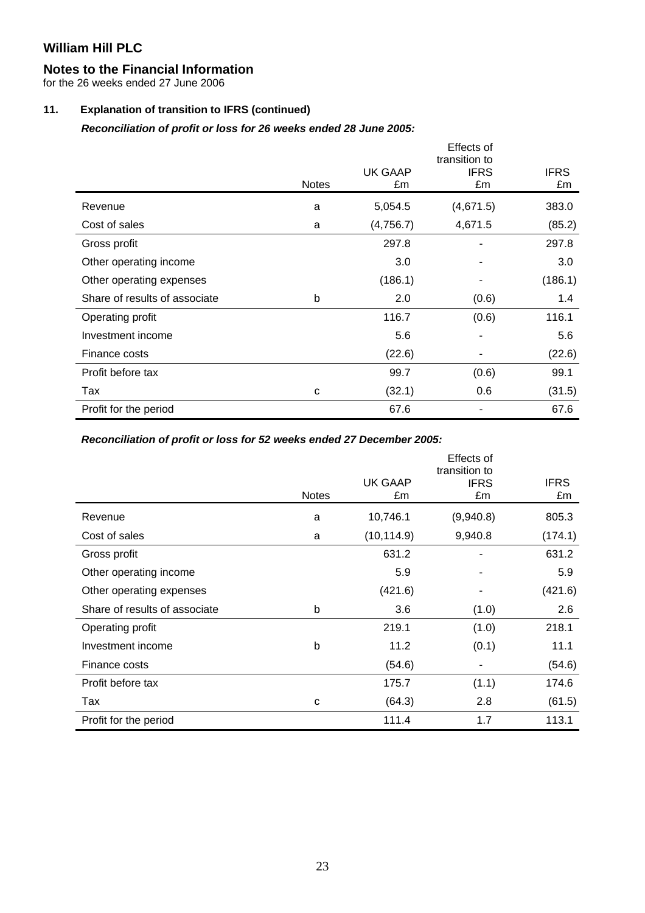# **Notes to the Financial Information**

for the 26 weeks ended 27 June 2006

# **11. Explanation of transition to IFRS (continued)**

*Reconciliation of profit or loss for 26 weeks ended 28 June 2005:* 

|                               |              |                      | Effects of<br>transition to |                   |
|-------------------------------|--------------|----------------------|-----------------------------|-------------------|
|                               | <b>Notes</b> | <b>UK GAAP</b><br>£m | <b>IFRS</b><br>£m           | <b>IFRS</b><br>£m |
| Revenue                       | a            | 5,054.5              | (4,671.5)                   | 383.0             |
| Cost of sales                 | a            | (4,756.7)            | 4,671.5                     | (85.2)            |
| Gross profit                  |              | 297.8                |                             | 297.8             |
| Other operating income        |              | 3.0                  |                             | 3.0               |
| Other operating expenses      |              | (186.1)              |                             | (186.1)           |
| Share of results of associate | b            | 2.0                  | (0.6)                       | 1.4               |
| Operating profit              |              | 116.7                | (0.6)                       | 116.1             |
| Investment income             |              | 5.6                  |                             | 5.6               |
| Finance costs                 |              | (22.6)               |                             | (22.6)            |
| Profit before tax             |              | 99.7                 | (0.6)                       | 99.1              |
| Tax                           | C            | (32.1)               | 0.6                         | (31.5)            |
| Profit for the period         |              | 67.6                 |                             | 67.6              |

*Reconciliation of profit or loss for 52 weeks ended 27 December 2005:* 

|                               | <b>Notes</b> | <b>UK GAAP</b><br>£m | Effects of<br>transition to<br><b>IFRS</b><br>£m | <b>IFRS</b><br>£m |
|-------------------------------|--------------|----------------------|--------------------------------------------------|-------------------|
| Revenue                       | a            | 10,746.1             | (9,940.8)                                        | 805.3             |
| Cost of sales                 | a            | (10, 114.9)          | 9,940.8                                          | (174.1)           |
| Gross profit                  |              | 631.2                |                                                  | 631.2             |
| Other operating income        |              | 5.9                  |                                                  | 5.9               |
| Other operating expenses      |              | (421.6)              |                                                  | (421.6)           |
| Share of results of associate | b            | 3.6                  | (1.0)                                            | 2.6               |
| Operating profit              |              | 219.1                | (1.0)                                            | 218.1             |
| Investment income             | b            | 11.2                 | (0.1)                                            | 11.1              |
| Finance costs                 |              | (54.6)               | ۰                                                | (54.6)            |
| Profit before tax             |              | 175.7                | (1.1)                                            | 174.6             |
| Tax                           | C            | (64.3)               | 2.8                                              | (61.5)            |
| Profit for the period         |              | 111.4                | 1.7                                              | 113.1             |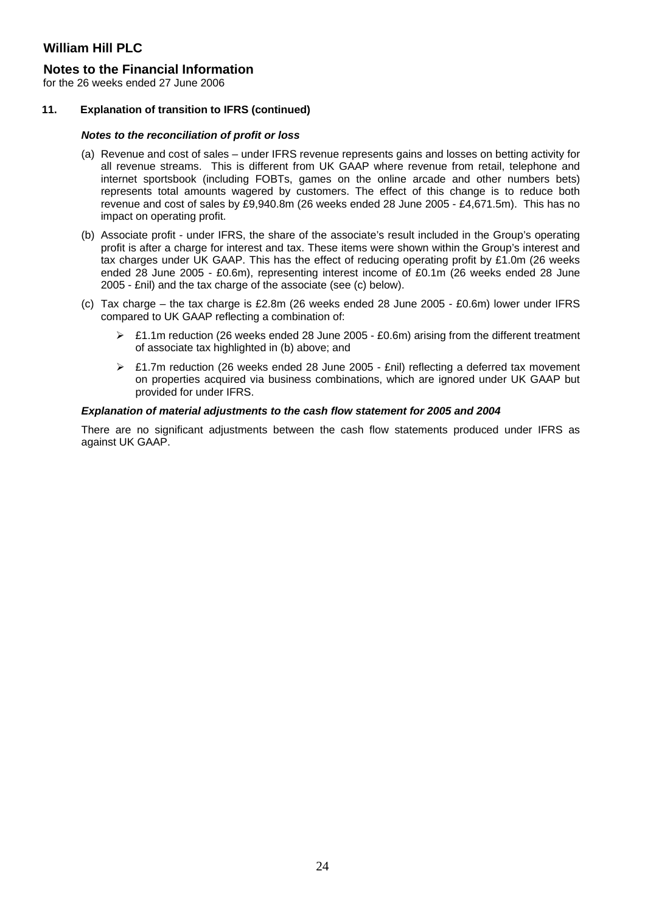### **Notes to the Financial Information**

for the 26 weeks ended 27 June 2006

#### **11. Explanation of transition to IFRS (continued)**

#### *Notes to the reconciliation of profit or loss*

- (a) Revenue and cost of sales under IFRS revenue represents gains and losses on betting activity for all revenue streams. This is different from UK GAAP where revenue from retail, telephone and internet sportsbook (including FOBTs, games on the online arcade and other numbers bets) represents total amounts wagered by customers. The effect of this change is to reduce both revenue and cost of sales by £9,940.8m (26 weeks ended 28 June 2005 - £4,671.5m). This has no impact on operating profit.
- (b) Associate profit under IFRS, the share of the associate's result included in the Group's operating profit is after a charge for interest and tax. These items were shown within the Group's interest and tax charges under UK GAAP. This has the effect of reducing operating profit by £1.0m (26 weeks ended 28 June 2005 - £0.6m), representing interest income of £0.1m (26 weeks ended 28 June 2005 - £nil) and the tax charge of the associate (see (c) below).
- (c) Tax charge the tax charge is £2.8m (26 weeks ended 28 June 2005 £0.6m) lower under IFRS compared to UK GAAP reflecting a combination of:
	- ¾ £1.1m reduction (26 weeks ended 28 June 2005 £0.6m) arising from the different treatment of associate tax highlighted in (b) above; and
	- $\ge$  £1.7m reduction (26 weeks ended 28 June 2005 £nil) reflecting a deferred tax movement on properties acquired via business combinations, which are ignored under UK GAAP but provided for under IFRS.

#### *Explanation of material adjustments to the cash flow statement for 2005 and 2004*

There are no significant adjustments between the cash flow statements produced under IFRS as against UK GAAP.